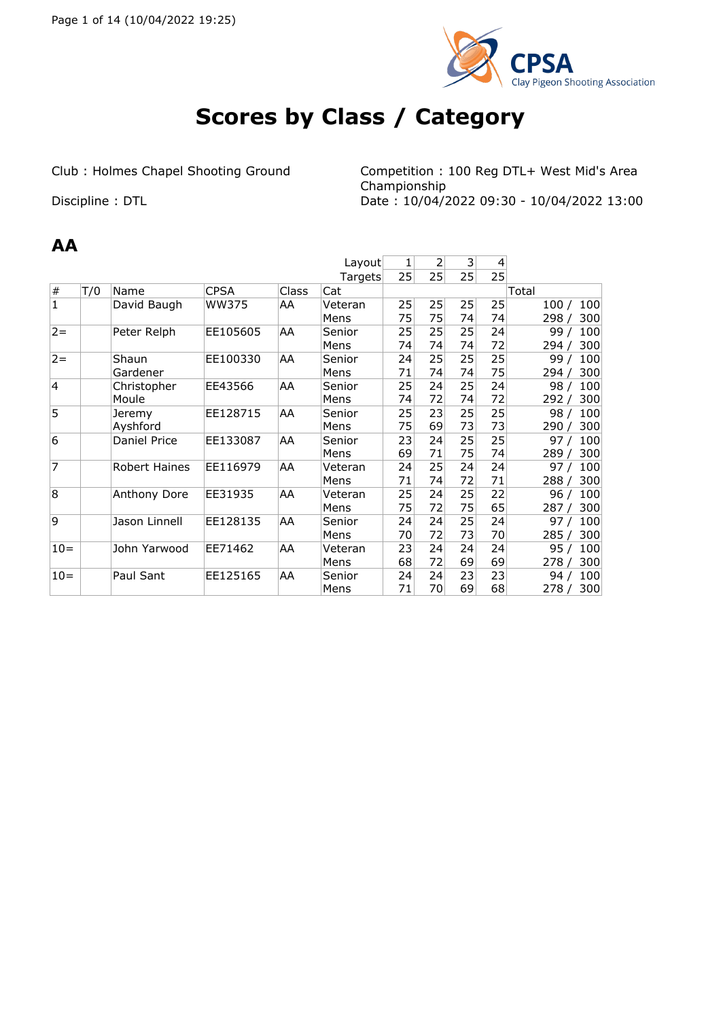

# **Scores by Class / Category**

Club : Holmes Chapel Shooting Ground Competition : 100 Reg DTL+ West Mid's Area Championship Discipline : DTL Date : 10/04/2022 09:30 - 10/04/2022 13:00

#### **AA**

|                |     |                     |             |              | Layout  | 1  | 2  | 3  | 4  |                        |
|----------------|-----|---------------------|-------------|--------------|---------|----|----|----|----|------------------------|
|                |     |                     |             |              |         |    |    |    |    |                        |
|                |     |                     |             |              | Targets | 25 | 25 | 25 | 25 |                        |
| $\#$           | T/0 | Name                | <b>CPSA</b> | <b>Class</b> | Cat     |    |    |    |    | Total                  |
| $\mathbf{1}$   |     | David Baugh         | WW375       | AA           | Veteran | 25 | 25 | 25 | 25 | 100/<br>100            |
|                |     |                     |             |              | Mens    | 75 | 75 | 74 | 74 | 300<br>298             |
| $2 =$          |     | Peter Relph         | EE105605    | AA           | Senior  | 25 | 25 | 25 | 24 | 100<br>99/             |
|                |     |                     |             |              | Mens    | 74 | 74 | 74 | 72 | 300<br>294/            |
| $2 =$          |     | Shaun               | EE100330    | AA           | Senior  | 24 | 25 | 25 | 25 | 99 <sub>l</sub><br>100 |
|                |     | Gardener            |             |              | Mens    | 71 | 74 | 74 | 75 | 300<br>294             |
| $\overline{4}$ |     | Christopher         | EE43566     | AA           | Senior  | 25 | 24 | 25 | 24 | 100<br>98 <sub>1</sub> |
|                |     | Moule               |             |              | Mens    | 74 | 72 | 74 | 72 | 300<br>292             |
| 5              |     | Jeremy              | EE128715    | AA           | Senior  | 25 | 23 | 25 | 25 | 100<br>98              |
|                |     | Ayshford            |             |              | Mens    | 75 | 69 | 73 | 73 | 300<br>290             |
| 6              |     | <b>Daniel Price</b> | EE133087    | AA           | Senior  | 23 | 24 | 25 | 25 | 100<br>97              |
|                |     |                     |             |              | Mens    | 69 | 71 | 75 | 74 | 300<br>289             |
| $\overline{7}$ |     | Robert Haines       | EE116979    | AA           | Veteran | 24 | 25 | 24 | 24 | 97<br>100              |
|                |     |                     |             |              | Mens    | 71 | 74 | 72 | 71 | 300<br>288             |
| 8              |     | Anthony Dore        | EE31935     | AA           | Veteran | 25 | 24 | 25 | 22 | 96<br>100              |
|                |     |                     |             |              | Mens    | 75 | 72 | 75 | 65 | 287<br>300             |
| 9              |     | Jason Linnell       | EE128135    | AA           | Senior  | 24 | 24 | 25 | 24 | 97/<br>100             |
|                |     |                     |             |              | Mens    | 70 | 72 | 73 | 70 | 285<br>300             |
| $10=$          |     | John Yarwood        | EE71462     | AA           | Veteran | 23 | 24 | 24 | 24 | 95/<br>100             |
|                |     |                     |             |              | Mens    | 68 | 72 | 69 | 69 | 300<br>278             |
| $10=$          |     | Paul Sant           | EE125165    | AA           | Senior  | 24 | 24 | 23 | 23 | 100<br>94/             |
|                |     |                     |             |              | Mens    | 71 | 70 | 69 | 68 | 300<br>278             |
|                |     |                     |             |              |         |    |    |    |    |                        |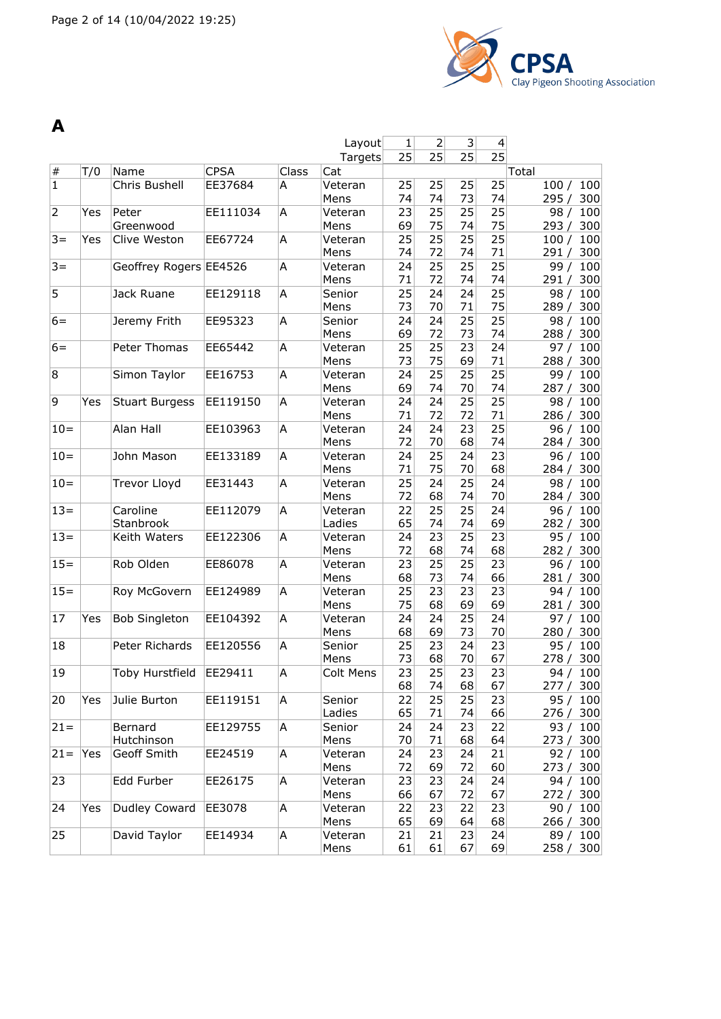

| A              |     |                        |             |       |                   |          |                |          |                          |                           |
|----------------|-----|------------------------|-------------|-------|-------------------|----------|----------------|----------|--------------------------|---------------------------|
|                |     |                        |             |       | Layout            | 1        | $\overline{2}$ | 3        | $\overline{\mathcal{L}}$ |                           |
|                |     |                        |             |       | Targets           | 25       | 25             | 25       | 25                       |                           |
| $\#$           | T/0 | Name                   | <b>CPSA</b> | Class | Cat               |          |                |          |                          | Total                     |
| $\overline{1}$ |     | Chris Bushell          | EE37684     | A     | Veteran           | 25       | 25             | 25       | 25                       | 100<br>100/               |
|                |     |                        |             |       | Mens              | 74       | 74             | 73       | 74                       | 295/<br>300               |
| $\overline{2}$ | Yes | Peter                  | EE111034    | A     | Veteran           | 23       | 25             | 25       | 25                       | 100<br>98/                |
|                |     | Greenwood              |             |       | Mens              | 69       | 75             | 74       | 75                       | 300<br>293/               |
| $3 =$          | Yes | Clive Weston           | EE67724     | A     | Veteran           | 25       | 25             | 25       | 25                       | 100<br>100/               |
|                |     |                        |             |       | Mens              | 74       | 72             | 74       | 71                       | 300<br>291/               |
| $3 =$          |     | Geoffrey Rogers EE4526 |             | A     | Veteran           | 24       | 25             | 25       | 25                       | 99/<br>100                |
|                |     |                        |             |       | Mens              | 71       | 72             | 74       | 74                       | 300<br>291/               |
| 5              |     | Jack Ruane             | EE129118    | A     | Senior            | 25       | 24             | 24       | 25                       | 100<br>98/                |
|                |     |                        |             |       | Mens              | 73       | 70             | 71       | 75                       | 289 / 300                 |
| $6=$           |     | Jeremy Frith           | EE95323     | A     | Senior            | 24       | 24             | 25       | 25                       | 98/<br>100                |
|                |     |                        |             |       | Mens              | 69       | 72             | 73       | 74                       | 300<br>288/               |
| $6 =$          |     | Peter Thomas           | EE65442     | A     | Veteran           | 25       | 25             | 23       | 24                       | 100<br>97/                |
|                |     |                        |             |       | Mens              | 73       | 75             | 69       | 71                       | 300<br>288/               |
| 8              |     | Simon Taylor           | EE16753     | Α     | Veteran           | 24       | 25             | 25       | 25                       | 99/<br>100                |
|                |     |                        |             |       | Mens              | 69       | 74             | 70       | 74                       | 300<br>287/               |
| 9              | Yes | <b>Stuart Burgess</b>  | EE119150    | A     | Veteran           | 24       | 24             | 25       | 25                       | 98/<br>100                |
|                |     |                        |             |       | Mens              | 71       | 72             | 72       | 71                       | 300<br>286/               |
| $10 =$         |     | Alan Hall              | EE103963    | A     | Veteran           | 24       | 24             | 23       | 25                       | 100<br>96/                |
|                |     |                        |             |       | Mens              | 72       | 70             | 68       | 74                       | 300<br>284/               |
| $10=$          |     | John Mason             | EE133189    | A     | Veteran           | 24<br>71 | 25             | 24       | 23<br>68                 | 96/<br>100                |
|                |     |                        |             |       | Mens              |          | 75             | 70<br>25 |                          | 300<br>284/               |
| $10 =$         |     | <b>Trevor Lloyd</b>    | EE31443     | Α     | Veteran<br>Mens   | 25<br>72 | 24<br>68       | 74       | 24<br>70                 | 98/<br>100                |
| $13 =$         |     | Caroline               | EE112079    | A     |                   | 22       | 25             | 25       | 24                       | 284/<br>300               |
|                |     | Stanbrook              |             |       | Veteran<br>Ladies | 65       | 74             | 74       | 69                       | 96/<br>100<br>300<br>282/ |
| $13 =$         |     | Keith Waters           | EE122306    | A     | Veteran           | 24       | 23             | 25       | 23                       | 100<br>95/                |
|                |     |                        |             |       | Mens              | 72       | 68             | 74       | 68                       | 300<br>282/               |
| $15 =$         |     | Rob Olden              | EE86078     | A     | Veteran           | 23       | 25             | 25       | 23                       | 100<br>96/                |
|                |     |                        |             |       | Mens              | 68       | 73             | 74       | 66                       | 300<br>281/               |
| $15 =$         |     | Roy McGovern           | EE124989    | Α     | Veteran           | 25       | 23             | 23       | 23                       | 100<br>94/                |
|                |     |                        |             |       | Mens              | 75       | 68             | 69       | 69                       | 300<br>281/               |
| 17             | Yes | <b>Bob Singleton</b>   | EE104392    | A     | Veteran           | 24       | 24             | 25       | 24                       | 100<br>97/                |
|                |     |                        |             |       | Mens              | 68       | 69             | 73       | 70                       | 300<br>280/               |
| 18             |     | Peter Richards         | EE120556    | A     | Senior            | 25       | 23             | 24       | 23                       | 95/<br>100                |
|                |     |                        |             |       | Mens              | 73       | 68             | 70       | 67                       | 278 / 300                 |
| 19             |     | Toby Hurstfield        | EE29411     | A     | Colt Mens         | 23       | 25             | 23       | 23                       | 94 / 100                  |
|                |     |                        |             |       |                   | 68       | 74             | 68       | 67                       | 277 / 300                 |
| 20             | Yes | Julie Burton           | EE119151    | A     | Senior            | 22       | 25             | 25       | 23                       | 95 / 100                  |
|                |     |                        |             |       | Ladies            | 65       | 71             | 74       | 66                       | 276 / 300                 |
| $ 21=$         |     | Bernard                | EE129755    | A     | Senior            | 24       | 24             | 23       | 22                       | 93/<br>100                |
|                |     | Hutchinson             |             |       | Mens              | 70       | 71             | 68       | 64                       | 273/<br>300               |
| $21 =$         | Yes | Geoff Smith            | EE24519     | A     | Veteran           | 24       | 23             | 24       | 21                       | 92/<br>100                |
|                |     |                        |             |       | Mens              | 72       | 69             | 72       | 60                       | 273 / 300                 |
| 23             |     | Edd Furber             | EE26175     | A     | Veteran           | 23       | 23             | 24       | 24                       | 94/<br>100                |
|                |     |                        |             |       | Mens              | 66       | 67             | 72       | 67                       | 272 / 300                 |
| 24             | Yes | Dudley Coward          | EE3078      | A     | Veteran           | 22       | 23             | 22       | 23                       | 90 / 100                  |
|                |     |                        |             |       | Mens              | 65       | 69             | 64       | 68                       | 266 / 300                 |
| 25             |     | David Taylor           | EE14934     | A     | Veteran           | 21       | 21             | 23       | 24                       | 89 / 100                  |
|                |     |                        |             |       | Mens              | 61       | 61             | 67       | 69                       | 258 / 300                 |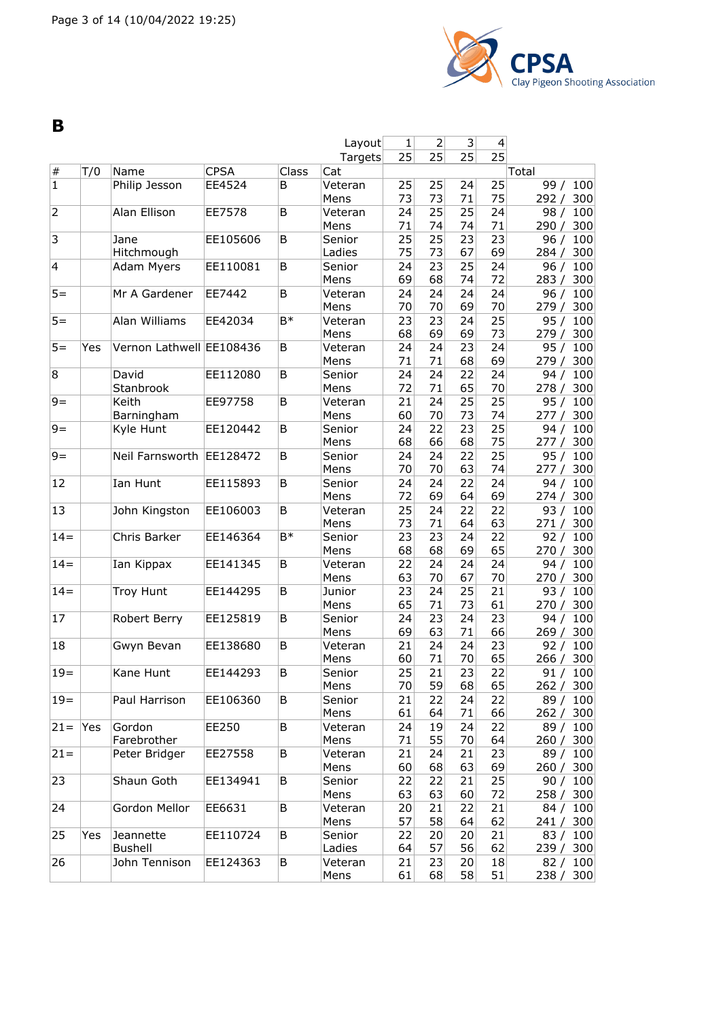

**B**

|                         |     |                          |             |       | Layout          | 1        | $\overline{2}$  | $\vert 3 \vert$ | $\overline{4}$  |                           |
|-------------------------|-----|--------------------------|-------------|-------|-----------------|----------|-----------------|-----------------|-----------------|---------------------------|
|                         |     |                          |             |       | Targets         | 25       | 25              | 25              | 25              |                           |
| $\#$                    | T/0 | Name                     | <b>CPSA</b> | Class | Cat             |          |                 |                 |                 | Total                     |
| $\mathbf{1}$            |     | Philip Jesson            | EE4524      | В     | Veteran         | 25       | 25              | 24              | 25              | 99/<br>100                |
|                         |     |                          |             |       | Mens            | 73       | 73              | 71              | 75              | 292/<br>300               |
| $\overline{2}$          |     | Alan Ellison             | EE7578      | В     | Veteran         | 24       | $\overline{25}$ | $\overline{25}$ | 24              | 100<br>98/                |
|                         |     |                          |             |       | Mens            | 71       | 74              | 74              | 71              | 290/<br>300               |
| 3                       |     | Jane                     | EE105606    | B     | Senior          | 25       | 25              | 23              | 23              | 96/<br>100                |
|                         |     | Hitchmough               |             |       | Ladies          | 75       | 73              | 67              | 69              | 300<br>284/               |
| $\overline{\mathbf{4}}$ |     | Adam Myers               | EE110081    | B     | Senior          | 24       | 23              | 25              | 24              | 100<br>96/                |
|                         |     |                          |             |       | Mens            | 69       | 68              | 74              | 72              | 283/<br>300               |
| $5 =$                   |     | Mr A Gardener            | EE7442      | B     | Veteran         | 24       | 24              | 24              | $\overline{24}$ | 96/<br>100                |
|                         |     |                          |             |       | Mens            | 70       | 70              | 69              | 70              | 279/<br>300               |
| $5 =$                   |     | Alan Williams            | EE42034     | B*    | Veteran         | 23       | 23              | 24              | 25              | 95/<br>100                |
|                         |     |                          |             |       | Mens            | 68       | 69              | 69              | 73              | 279 / 300                 |
| $5 =$                   | Yes | Vernon Lathwell EE108436 |             | В     | Veteran         | 24       | 24              | 23              | 24              | 95/<br>100                |
|                         |     |                          |             |       | Mens            | 71       | 71              | 68              | 69              | 279/<br>300               |
| 8                       |     | David                    | EE112080    | В     | Senior          | 24       | 24              | 22              | 24              | 94 /<br>100               |
|                         |     | Stanbrook                |             |       | Mens            | 72       | 71              | 65              | 70              | 278/<br>300               |
| $9=$                    |     | Keith                    | EE97758     | B     | Veteran         | 21       | 24              | 25              | 25              | 95/<br>100                |
|                         |     | Barningham               |             |       | Mens            | 60       | 70              | 73              | 74              | 300<br>277/               |
| $9=$                    |     | Kyle Hunt                | EE120442    | B     | Senior          | 24       | 22              | 23              | 25              | 100<br>94/                |
|                         |     |                          |             |       | Mens            | 68       | 66              | 68              | 75              | 300<br>277/               |
| $9=$                    |     | Neil Farnsworth          | EE128472    | В     | Senior          | 24       | 24              | 22              | 25              | 95/<br>100                |
|                         |     |                          |             |       | Mens            | 70       | 70              | 63              | 74              | 277/<br>300               |
| 12                      |     | Ian Hunt                 | EE115893    | В     | Senior          | 24       | 24              | 22<br>64        | 24              | 100<br>94 /               |
|                         |     |                          |             |       | Mens            | 72       | 69              |                 | 69              | 274/<br>300               |
| 13                      |     | John Kingston            | EE106003    | В     | Veteran         | 25       | 24              | 22              | 22              | 93 / 100                  |
| $14 =$                  |     |                          |             | B*    | Mens            | 73<br>23 | 71<br>23        | 64<br>24        | 63              | 271/<br>300               |
|                         |     | Chris Barker             | EE146364    |       | Senior          |          | 68              | 69              | 22              | 92/<br>100                |
| $14 =$                  |     |                          | EE141345    |       | Mens<br>Veteran | 68       | 24              | 24              | 65<br>24        | 300<br>270/<br>94/<br>100 |
|                         |     | Ian Kippax               |             | В     | Mens            | 22<br>63 | 70              | 67              | 70              | 270 / 300                 |
| $14 =$                  |     | <b>Troy Hunt</b>         | EE144295    | В     | Junior          | 23       | 24              | 25              | $\overline{21}$ | 93/<br>100                |
|                         |     |                          |             |       | Mens            | 65       | 71              | 73              | 61              | 300<br>270/               |
| 17                      |     | Robert Berry             | EE125819    | B     | Senior          | 24       | 23              | 24              | 23              | 94/<br>100                |
|                         |     |                          |             |       | Mens            | 69       | 63              | 71              | 66              | 300<br>269/               |
| 18                      |     | Gwyn Bevan               | EE138680    | B     | Veteran         | 21       | 24              | 24              | 23              | 100<br>92/                |
|                         |     |                          |             |       | Mens            | 60       | 71              | 70              | 65              | 300<br>266/               |
| $19 =$                  |     | Kane Hunt                | EE144293    | В     | Senior          | 25       | 21              | 23              | 22              | 91/<br>100                |
|                         |     |                          |             |       | Mens            | 70       | 59              | 68              | 65              | 262 / 300                 |
| $19 =$                  |     | Paul Harrison            | EE106360    | В     | Senior          | 21       | 22              | 24              | 22              | 89 / 100                  |
|                         |     |                          |             |       | Mens            | 61       | 64              | 71              | 66              | 262 / 300                 |
| $21 =$                  | Yes | Gordon                   | EE250       | В     | Veteran         | 24       | 19              | 24              | 22              | 89 / 100                  |
|                         |     | Farebrother              |             |       | Mens            | 71       | 55              | 70              | 64              | 260 / 300                 |
| $21 =$                  |     | Peter Bridger            | EE27558     | В     | Veteran         | 21       | 24              | 21              | 23              | 89 / 100                  |
|                         |     |                          |             |       | Mens            | 60       | 68              | 63              | 69              | 260 / 300                 |
| 23                      |     | Shaun Goth               | EE134941    | В     | Senior          | 22       | 22              | 21              | 25              | 90 / 100                  |
|                         |     |                          |             |       | Mens            | 63       | 63              | 60              | 72              | 258 / 300                 |
| 24                      |     | Gordon Mellor            | EE6631      | В     | Veteran         | 20       | 21              | 22              | 21              | 84 / 100                  |
|                         |     |                          |             |       | Mens            | 57       | 58              | 64              | 62              | 241 / 300                 |
| 25                      | Yes | Jeannette                | EE110724    | B     | Senior          | 22       | 20              | 20              | 21              | 83 / 100                  |
|                         |     | <b>Bushell</b>           |             |       | Ladies          | 64       | 57              | 56              | 62              | 239 / 300                 |
| 26                      |     | John Tennison            | EE124363    | В     | Veteran         | 21       | 23              | 20              | 18              | 82 / 100                  |
|                         |     |                          |             |       | Mens            | 61       | 68              | 58              | 51              | 238 / 300                 |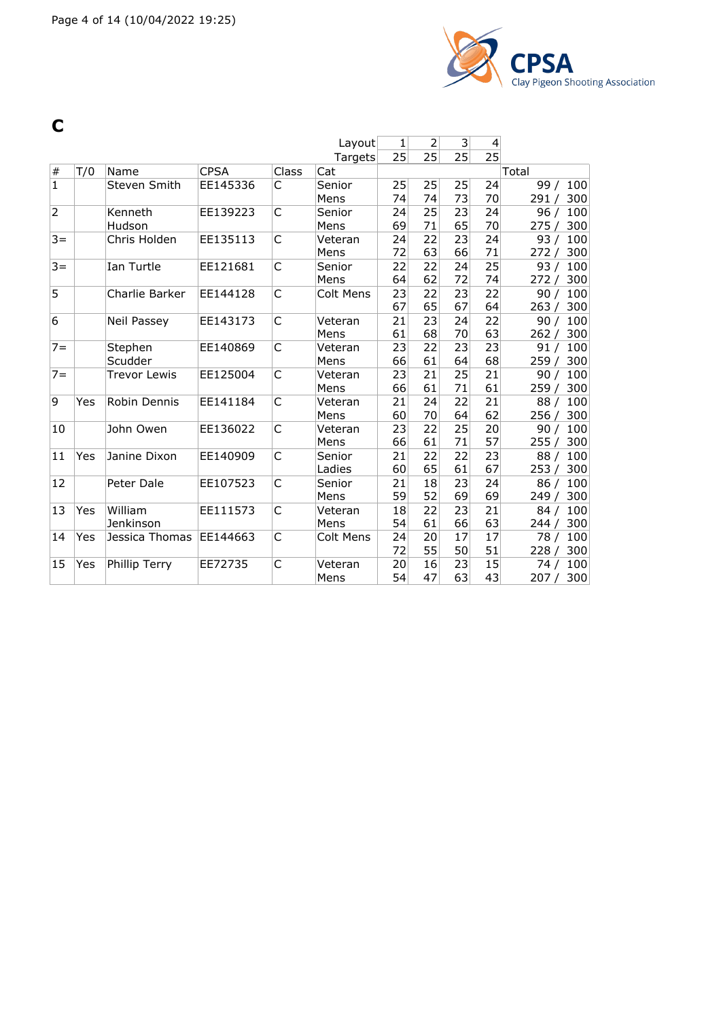

**C**

|                |     |                     |             |       | Layout           | 1  | 2  | 3  | 4  |              |
|----------------|-----|---------------------|-------------|-------|------------------|----|----|----|----|--------------|
|                |     |                     |             |       | Targets          | 25 | 25 | 25 | 25 |              |
| $\#$           | T/0 | Name                | <b>CPSA</b> | Class | Cat              |    |    |    |    | Total        |
| $\mathbf 1$    |     | Steven Smith        | EE145336    | C     | Senior           | 25 | 25 | 25 | 24 | 99/<br>100   |
|                |     |                     |             |       | Mens             | 74 | 74 | 73 | 70 | 300<br>291/  |
| $\overline{2}$ |     | Kenneth             | EE139223    | C     | Senior           | 24 | 25 | 23 | 24 | 96/<br>100   |
|                |     | Hudson              |             |       | Mens             | 69 | 71 | 65 | 70 | 300<br>275/  |
| $3 =$          |     | Chris Holden        | EE135113    | C     | Veteran          | 24 | 22 | 23 | 24 | 100<br>93/   |
|                |     |                     |             |       | Mens             | 72 | 63 | 66 | 71 | 300<br>272/  |
| $3 =$          |     | Ian Turtle          | EE121681    | C     | Senior           | 22 | 22 | 24 | 25 | 93/<br>100   |
|                |     |                     |             |       | Mens             | 64 | 62 | 72 | 74 | 300<br>272/  |
| 5              |     | Charlie Barker      | EE144128    | C     | <b>Colt Mens</b> | 23 | 22 | 23 | 22 | 100<br>90/   |
|                |     |                     |             |       |                  | 67 | 65 | 67 | 64 | 263/<br>300  |
| 6              |     | <b>Neil Passey</b>  | EE143173    | C     | Veteran          | 21 | 23 | 24 | 22 | 100<br>90/   |
|                |     |                     |             |       | Mens             | 61 | 68 | 70 | 63 | 300<br>262 / |
| $7 =$          |     | Stephen             | EE140869    | C     | Veteran          | 23 | 22 | 23 | 23 | 91/<br>100   |
|                |     | Scudder             |             |       | Mens             | 66 | 61 | 64 | 68 | 300<br>259/  |
| $7 =$          |     | <b>Trevor Lewis</b> | EE125004    | C     | Veteran          | 23 | 21 | 25 | 21 | 100<br>90/   |
|                |     |                     |             |       | Mens             | 66 | 61 | 71 | 61 | 259<br>300   |
| 9              | Yes | Robin Dennis        | EE141184    | C     | Veteran          | 21 | 24 | 22 | 21 | 88/<br>100   |
|                |     |                     |             |       | Mens             | 60 | 70 | 64 | 62 | 300<br>256/  |
| 10             |     | John Owen           | EE136022    | C     | Veteran          | 23 | 22 | 25 | 20 | 100<br>90/   |
|                |     |                     |             |       | Mens             | 66 | 61 | 71 | 57 | 255/<br>300  |
| 11             | Yes | Janine Dixon        | EE140909    | C     | Senior           | 21 | 22 | 22 | 23 | 88/<br>100   |
|                |     |                     |             |       | Ladies           | 60 | 65 | 61 | 67 | 253/<br>300  |
| 12             |     | Peter Dale          | EE107523    | C     | Senior           | 21 | 18 | 23 | 24 | 100<br>86/   |
|                |     |                     |             |       | Mens             | 59 | 52 | 69 | 69 | 249<br>300   |
| 13             | Yes | William             | EE111573    | C     | Veteran          | 18 | 22 | 23 | 21 | 84/<br>100   |
|                |     | Jenkinson           |             |       | Mens             | 54 | 61 | 66 | 63 | 300<br>244/  |
| 14             | Yes | Jessica Thomas      | EE144663    | C     | <b>Colt Mens</b> | 24 | 20 | 17 | 17 | 100<br>78 /  |
|                |     |                     |             |       |                  | 72 | 55 | 50 | 51 | 300<br>228/  |
| 15             | Yes | Phillip Terry       | EE72735     | C     | Veteran          | 20 | 16 | 23 | 15 | 100<br>74 /  |
|                |     |                     |             |       | Mens             | 54 | 47 | 63 | 43 | 300<br>207/  |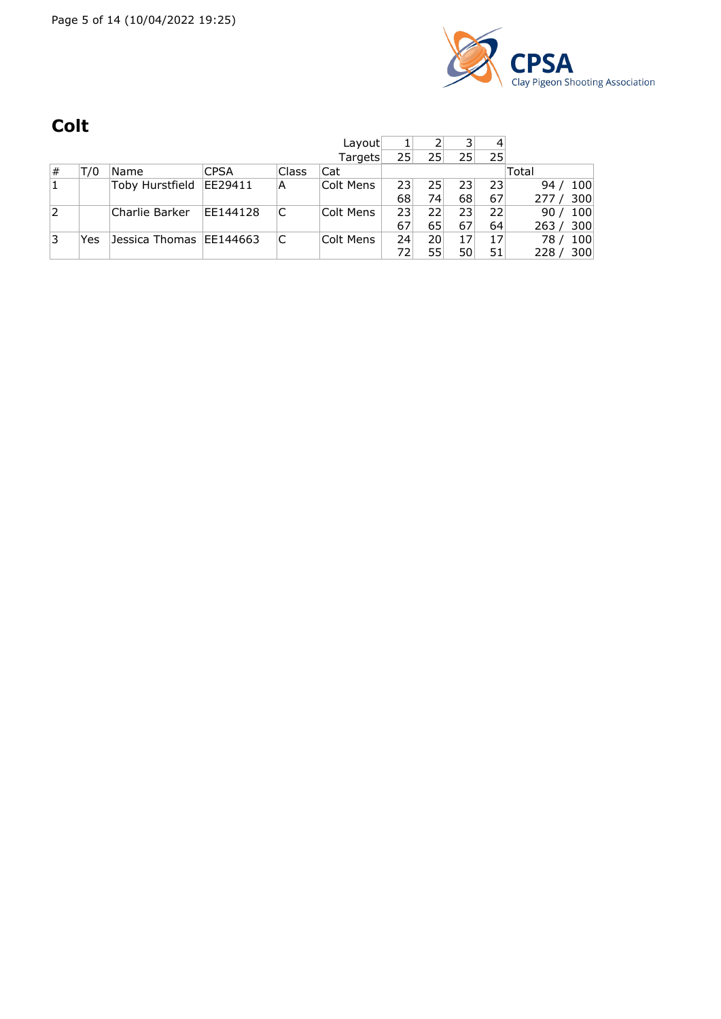

# **Colt**

|   |     |                           |             |       | Layout    |              |    | ∍  | 4               |                        |
|---|-----|---------------------------|-------------|-------|-----------|--------------|----|----|-----------------|------------------------|
|   |     |                           |             |       | Targets   | 25           | 25 | 25 | 25              |                        |
| # | T/0 | Name                      | <b>CPSA</b> | Class | Cat       |              |    |    |                 | Total                  |
|   |     | Toby Hurstfield           | EE29411     | A     | Colt Mens | $23^{\circ}$ | 25 | 23 | 23              | 100<br>94              |
|   |     |                           |             |       |           | 68           | 74 | 68 | 67              | 300<br>277/            |
| 2 |     | Charlie Barker            | EE144128    | C     | Colt Mens | 23           | 22 | 23 | 22 <sub>1</sub> | 100<br>90/             |
|   |     |                           |             |       |           | 67           | 65 | 67 | 64              | 263 / 300              |
| 3 | Yes | Jessica Thomas   EE144663 |             | C     | Colt Mens | 24           | 20 |    | 17              | 100<br>78 <sub>1</sub> |
|   |     |                           |             |       |           | 72           | 55 | 50 | 51              | 300<br>228             |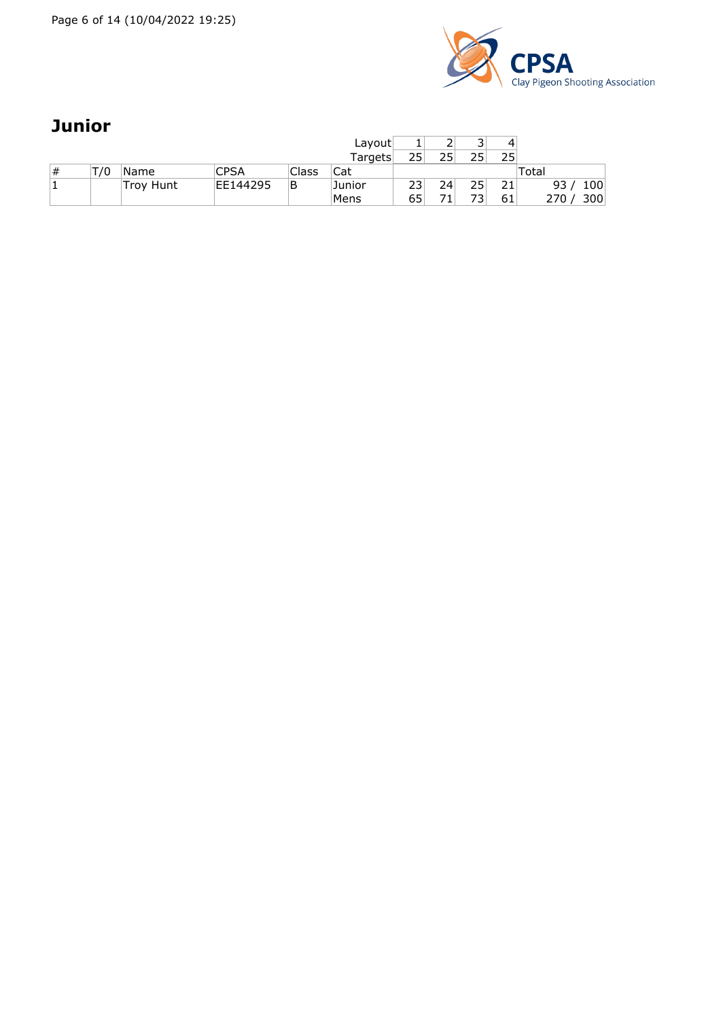

# **Junior**

|   |     |           |          |       | Layout  |    |     | ∍<br>ٮ | 4  |            |
|---|-----|-----------|----------|-------|---------|----|-----|--------|----|------------|
|   |     |           |          |       | Targets | 25 | つちし |        | 25 |            |
| # | T/0 | Name      | CPSA     | Class | Cat     |    |     |        |    | Total      |
|   |     | Troy Hunt | EE144295 | B     | Junior  | つつ | 24  |        |    | 100<br>93  |
|   |     |           |          |       | Mens    | 65 |     |        | 61 | 300<br>270 |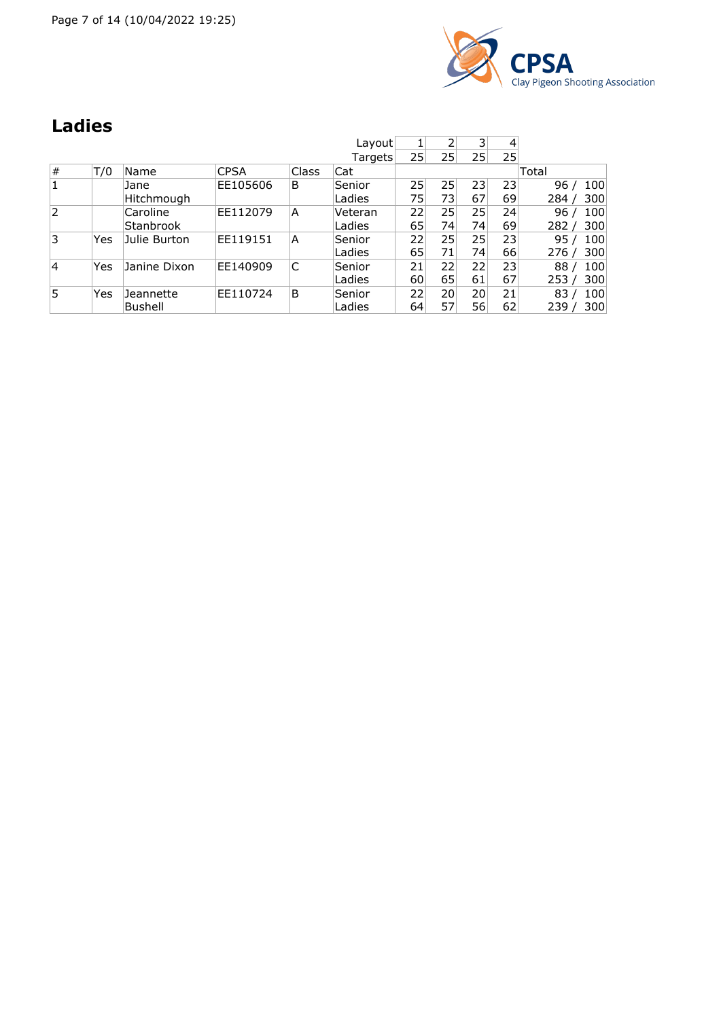Page 7 of 14 (10/04/2022 19:25)



### **Ladies**

|      |     |              |             |              | Layout  |    |    | 3  | 4               |              |
|------|-----|--------------|-------------|--------------|---------|----|----|----|-----------------|--------------|
|      |     |              |             |              | Targets | 25 | 25 | 25 | 25 <sup>1</sup> |              |
| $\#$ | T/0 | Name         | <b>CPSA</b> | <b>Class</b> | Cat     |    |    |    |                 | Total        |
| 1    |     | Jane         | EE105606    | B            | Senior  | 25 | 25 | 23 | 23              | 100<br>96    |
|      |     | Hitchmough   |             |              | Ladies  | 75 | 73 | 67 | 69              | 300<br>، 284 |
| 2    |     | Caroline     | EE112079    | A            | Veteran | 22 | 25 | 25 | 24              | 96<br>100    |
|      |     | Stanbrook    |             |              | Ladies  | 65 | 74 | 74 | 69              | 300<br>282 / |
| 3    | Yes | Julie Burton | EE119151    | A            | Senior  | 22 | 25 | 25 | 23              | 100<br>95    |
|      |     |              |             |              | Ladies  | 65 | 71 | 74 | 66              | 300<br>، 276 |
| 4    | Yes | Janine Dixon | EE140909    | С            | Senior  | 21 | 22 | 22 | 23              | 100<br>88    |
|      |     |              |             |              | Ladies  | 60 | 65 | 61 | 67              | 300<br>253/  |
| 5    | Yes | Jeannette    | EE110724    | B            | Senior  | 22 | 20 | 20 | 21              | 100<br>83    |
|      |     | Bushell      |             |              | Ladies  | 64 | 57 | 56 | 62              | 300<br>239   |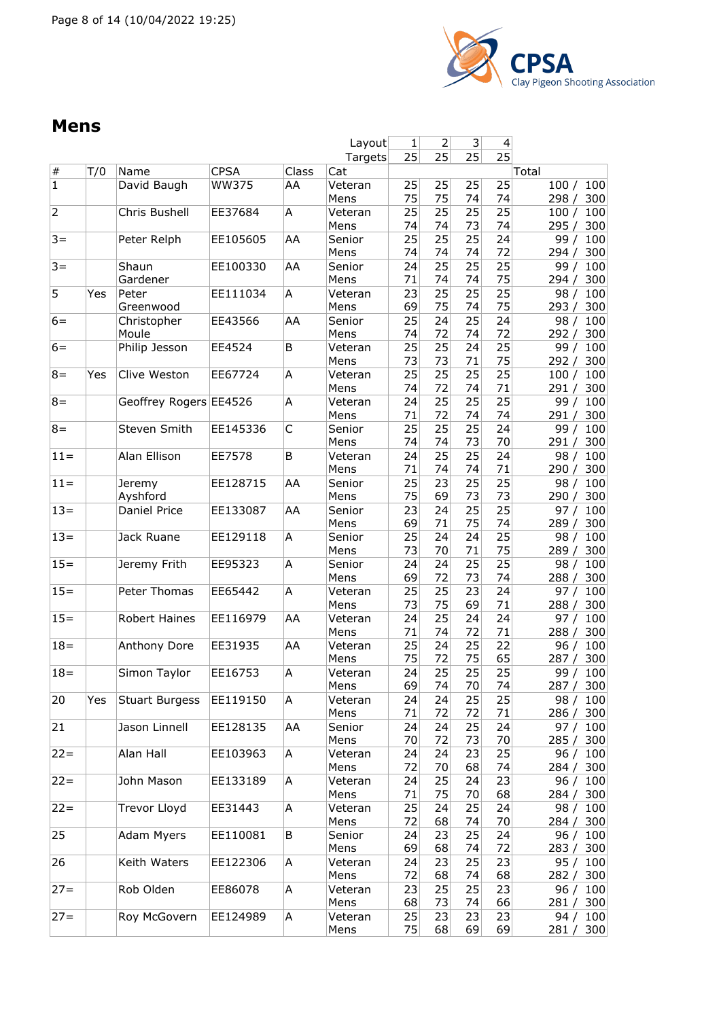

#### **Mens**

|                |     |                        |              |       | Layout          | 1        | $\mathsf{2}$          | 3 <sup>2</sup> | 4               |                             |
|----------------|-----|------------------------|--------------|-------|-----------------|----------|-----------------------|----------------|-----------------|-----------------------------|
|                |     |                        |              |       | Targets         | 25       | 25                    | 25             | $\overline{25}$ |                             |
| $\#$           | T/0 | Name                   | <b>CPSA</b>  | Class | Cat             |          |                       |                |                 | Total                       |
| $\overline{1}$ |     | David Baugh            | <b>WW375</b> | AA    | Veteran<br>Mens | 25<br>75 | 25<br>75              | 25<br>74       | 25<br>74        | 100<br>100/<br>300<br>298/  |
| $\overline{2}$ |     | Chris Bushell          | EE37684      | Α     | Veteran<br>Mens | 25<br>74 | 25<br>74              | 25<br>73       | 25<br>74        | 100<br>100/<br>295/<br>300  |
| $3 =$          |     | Peter Relph            | EE105605     | AA    | Senior          | 25       | 25                    | 25             | 24              | 100<br>99/                  |
|                |     |                        |              |       | Mens            | 74       | 74                    | 74             | 72              | 294/<br>300                 |
| $3 =$          |     | Shaun<br>Gardener      | EE100330     | AA    | Senior<br>Mens  | 24<br>71 | 25<br>74              | 25<br>74       | 25<br>75        | 100<br>99/<br>300<br>294/   |
| 5              | Yes | Peter                  | EE111034     | A     | Veteran         | 23       | 25                    | 25             | 25              | 100<br>98/                  |
|                |     | Greenwood              |              |       | Mens            | 69       | 75                    | 74             | 75              | 293 / 300                   |
| $6=$           |     | Christopher            | EE43566      | AA    | Senior          | 25       | 24                    | 25             | 24              | 100<br>98/                  |
|                |     | Moule                  |              |       | Mens            | 74       | 72<br>$\overline{25}$ | 74<br>24       | 72              | 300<br>292/                 |
| $6=$           |     | Philip Jesson          | EE4524       | B     | Veteran<br>Mens | 25<br>73 | 73                    | 71             | 25<br>75        | 99/<br>100<br>300<br>292/   |
| $8 =$          | Yes | Clive Weston           | EE67724      | Α     | Veteran         | 25       | 25                    | 25             | 25              | 100<br>100/                 |
|                |     |                        |              |       | Mens            | 74       | 72                    | 74             | 71              | 291/<br>300                 |
| $8 =$          |     | Geoffrey Rogers EE4526 |              | Α     | Veteran<br>Mens | 24<br>71 | 25<br>72              | 25<br>74       | 25<br>74        | 100<br>99/<br>300           |
| $8 =$          |     | Steven Smith           | EE145336     | C     | Senior          | 25       | 25                    | 25             | 24              | 291/<br>100<br>99/          |
|                |     |                        |              |       | Mens            | 74       | 74                    | 73             | 70              | 300<br>291/                 |
| $11 =$         |     | Alan Ellison           | EE7578       | B     | Veteran         | 24       | 25                    | 25             | 24              | 98/<br>100                  |
|                |     |                        |              |       | Mens            | 71       | 74                    | 74             | 71              | 300<br>290/                 |
| $11 =$         |     | Jeremy<br>Ayshford     | EE128715     | AA    | Senior<br>Mens  | 25<br>75 | 23<br>69              | 25<br>73       | 25<br>73        | 100<br>98/<br>300<br>290/   |
| $13 =$         |     | Daniel Price           | EE133087     | AA    | Senior          | 23       | 24                    | 25             | 25              | 100<br>97/                  |
|                |     |                        |              |       | Mens            | 69       | 71                    | 75             | 74              | 300<br>289 /                |
| $13 =$         |     | Jack Ruane             | EE129118     | Α     | Senior          | 25       | 24                    | 24             | $\overline{25}$ | 100<br>98/                  |
|                |     |                        |              |       | Mens            | 73       | 70                    | 71             | 75              | 300<br>289 /                |
| $15 =$         |     | Jeremy Frith           | EE95323      | Α     | Senior<br>Mens  | 24<br>69 | 24<br>72              | 25<br>73       | 25<br>74        | 98/<br>100<br>300<br>288/   |
| $15 =$         |     | Peter Thomas           | EE65442      | Α     | Veteran         | 25       | 25                    | 23             | 24              | 100<br>97/                  |
|                |     |                        |              |       | Mens            | 73       | 75                    | 69             | 71              | 300<br>288 /                |
| $15 =$         |     | <b>Robert Haines</b>   | EE116979     | AA    | Veteran         | 24       | 25                    | 24<br>72       | 24<br>71        | 100<br>97 $/$               |
| $18 =$         |     | Anthony Dore           | EE31935      | AA    | Mens<br>Veteran | 71<br>25 | 74<br>24              | 25             | 22              | 300<br>288 /<br>100<br>96/  |
|                |     |                        |              |       | Mens            | 75       | 72                    | 75             | 65              | 300<br>287/                 |
| $18 =$         |     | Simon Taylor           | EE16753      | Α     | Veteran         | 24       | 25                    | 25             | 25              | 100<br>99/                  |
|                |     |                        |              |       | Mens            | 69       | 74                    | 70             | 74              | 287 /<br>300                |
| 20             | Yes | <b>Stuart Burgess</b>  | EE119150     | Α     | Veteran         | 24       | 24                    | 25             | 25              | 98 /<br>100                 |
| 21             |     | Jason Linnell          | EE128135     | AA    | Mens<br>Senior  | 71<br>24 | 72<br>24              | 72<br>25       | 71<br>24        | 286 / 300<br>97 $/$<br>100  |
|                |     |                        |              |       | Mens            | 70       | 72                    | 73             | 70              | 285/<br>300                 |
| $22 =$         |     | Alan Hall              | EE103963     | Α     | Veteran         | 24       | 24                    | 23             | 25              | 96/<br>100                  |
|                |     | John Mason             |              |       | Mens            | 72       | 70                    | 68             | 74              | 300<br>284 /                |
| $22 =$         |     |                        | EE133189     | Α     | Veteran<br>Mens | 24<br>71 | 25<br>75              | 24<br>70       | 23<br>68        | 100<br>96 /<br>300<br>284 / |
| $22 =$         |     | Trevor Lloyd           | EE31443      | Α     | Veteran         | 25       | 24                    | 25             | 24              | 98 / 100                    |
|                |     |                        |              |       | Mens            | 72       | 68                    | 74             | 70              | 284 / 300                   |
| 25             |     | <b>Adam Myers</b>      | EE110081     | B     | Senior          | 24       | 23                    | 25             | 24<br>72        | 96/<br>100                  |
| 26             |     | Keith Waters           | EE122306     | А     | Mens<br>Veteran | 69<br>24 | 68<br>23              | 74<br>25       | 23              | 283/<br>300<br>100<br>95/   |
|                |     |                        |              |       | Mens            | 72       | 68                    | 74             | 68              | 282 / 300                   |
| $27 =$         |     | Rob Olden              | EE86078      | Α     | Veteran         | 23       | 25                    | 25             | 23              | 96 / 100                    |
|                |     |                        |              |       | Mens            | 68       | 73                    | 74             | 66              | 281 / 300                   |
| $27 =$         |     | Roy McGovern           | EE124989     | А     | Veteran         | 25       | 23                    | 23             | 23              | 94 /<br>100                 |
|                |     |                        |              |       | Mens            | 75       | 68                    | 69             | 69              | 281/<br>300                 |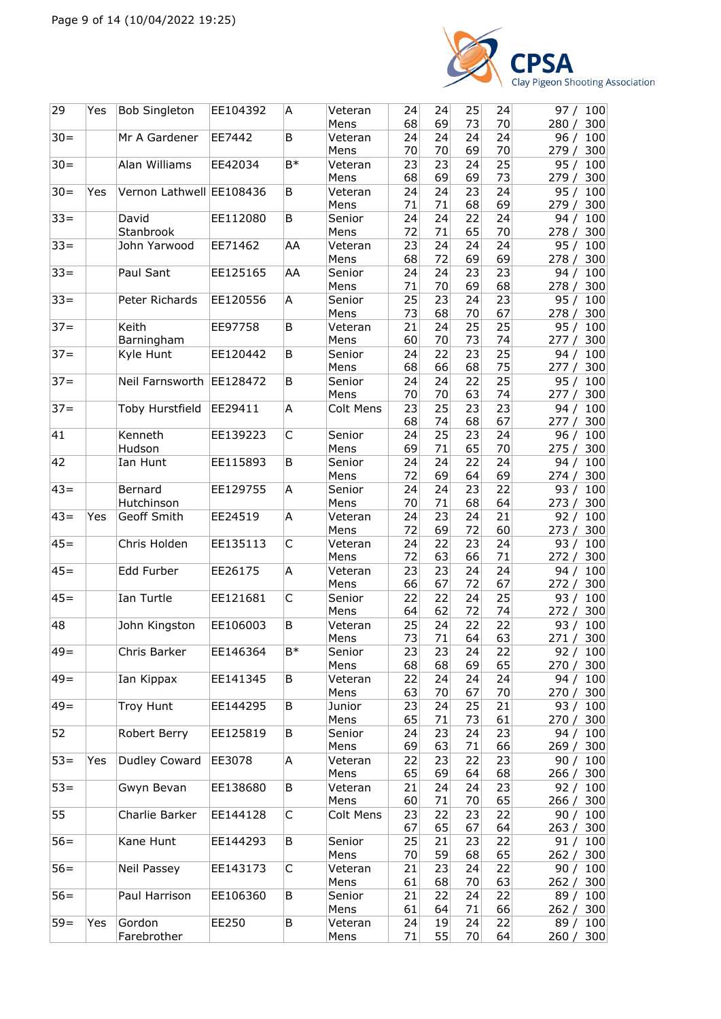

| 24<br>Mr A Gardener<br>EE7442<br>Veteran<br>24<br>24<br>24<br>96/<br>B<br>100<br>70<br>70<br>70<br>69<br>Mens<br>279/<br>300<br>23<br>25<br>Alan Williams<br>$B*$<br>23<br>24<br>EE42034<br>95/<br>100<br>Veteran<br>69<br>73<br>68<br>69<br>279/<br>Mens<br>300<br>24<br>Yes<br>Vernon Lathwell EE108436<br>B<br>24<br>24<br>23<br>95/<br>100<br>Veteran<br>69<br>71<br>71<br>68<br>300<br>Mens<br>279/<br>EE112080<br>B<br>24<br>24<br>22<br>24<br>94/<br>David<br>Senior<br>100<br>Stanbrook<br>65<br>72<br>71<br>70<br>Mens<br>278 / 300<br>$33 =$<br>EE71462<br>24<br>24<br>24<br>John Yarwood<br>AA<br>23<br>Veteran<br>95 /<br>100<br>72<br>69<br>69<br>68<br>Mens<br>278/<br>300<br>24<br>23<br>23<br>100<br>Paul Sant<br>EE125165<br>AA<br>Senior<br>24<br>94/<br>70<br>69<br>68<br>71<br>278/<br>300<br>Mens<br>25<br>23<br>Peter Richards<br>EE120556<br>Α<br>Senior<br>23<br>24<br>95/<br>100<br>73<br>68<br>70<br>67<br>278 / 300<br>Mens<br>25<br>25<br>Keith<br>EE97758<br>Veteran<br>21<br>24<br>95/<br>В<br>100<br>74<br>Barningham<br>60<br>70<br>73<br>Mens<br>277 / 300<br>25<br>$37 =$<br>22<br>23<br>Kyle Hunt<br>EE120442<br>B<br>Senior<br>24<br>94 /<br>100<br>68<br>75<br>68<br>66<br>300<br>Mens<br>277/<br>25<br>$37 =$<br>B<br>22<br>95/<br>Neil Farnsworth<br>EE128472<br>24<br>24<br>100<br>Senior<br>63<br>74<br>Mens<br>70<br>70<br>277/<br>300<br>$37 =$<br>A<br>25<br>23<br>23<br>Toby Hurstfield<br>EE29411<br>Colt Mens<br>23<br>100<br>94 /<br>67<br>68<br>74<br>68<br>300<br>277 /<br>25<br>Kenneth<br>C<br>23<br>EE139223<br>Senior<br>24<br>24<br>96/<br>100<br>71<br>65<br>70<br>Hudson<br>Mens<br>69<br>275 / 300<br>$\overline{22}$<br>42<br>24<br>24<br>Ian Hunt<br>EE115893<br>B<br>Senior<br>24<br>100<br>94/<br>72<br>69<br>64<br>69<br>300<br>Mens<br>274/<br>$43=$<br>23<br>22<br>Bernard<br>EE129755<br>A<br>Senior<br>24<br>24<br>93/<br>100<br>Hutchinson<br>70<br>71<br>68<br>64<br>Mens<br>273/<br>300<br>$43 =$<br>23<br>21<br>Geoff Smith<br>EE24519<br>A<br>Veteran<br>24<br>24<br>92/<br>Yes<br>100<br>72<br>69<br>72<br>60<br>Mens<br>300<br>273 /<br>$45 =$<br>23<br>Chris Holden<br>EE135113<br>C<br>Veteran<br>24<br>22<br>24<br>93/<br>100<br>71<br>72<br>63<br>66<br>Mens<br>300<br>272 /<br>23<br>23<br>24<br>Edd Furber<br>EE26175<br>Α<br>24<br>94/<br>100<br>Veteran<br>66<br>67<br>72<br>67<br>272/<br>300<br>Mens<br>C<br>25<br>Ian Turtle<br>22<br>24<br>100<br>EE121681<br>22<br>93/<br>Senior<br>64<br>62<br>72<br>74<br>Mens<br>272/<br>300<br>22<br>22<br>48<br>EE106003<br>B<br>24<br>John Kingston<br>Veteran<br>25<br>93/<br>100<br>73<br>71<br>63<br>64<br>271 / 300<br>Mens<br>$49 =$<br>Chris Barker<br>$B*$<br>92 / 100<br>EE146364<br>Senior<br>23<br>23<br>24<br>22<br>68<br>68<br>69<br>65<br>Mens<br>270/<br>300<br>$49 =$<br>Ian Kippax<br>B<br>22<br>24<br>24<br>100<br>EE141345<br>Veteran<br>24<br>94/<br>63<br>70<br>Mens<br>67<br>70<br>270 / 300<br>Troy Hunt<br>B<br>24<br>25<br>21<br>EE144295<br>Junior<br>23<br>93/<br>100<br>65<br>71<br>73<br>61<br>300<br>Mens<br>270 /<br>52<br>Robert Berry<br>23<br>24<br>EE125819<br>В<br>Senior<br>24<br>23<br>94 /<br>100<br>69<br>63<br>71<br>66<br>Mens<br>269 / 300<br>$53 =$<br>Dudley Coward<br>23<br>EE3078<br>22<br>22<br>23<br>Yes<br>A<br>90/<br>100<br>Veteran<br>65<br>69<br>64<br>68<br>266/<br>300<br>Mens<br>$53 =$<br>24<br>24<br>23<br>Gwyn Bevan<br>EE138680<br>В<br>Veteran<br>21<br>92/<br>100<br>65<br>Mens<br>60<br>71<br>70<br>266 / 300<br>55<br>Charlie Barker<br>С<br>22<br>23<br>EE144128<br>Colt Mens<br>23<br>22<br>90 /<br>100<br>67<br>65<br>67<br>64<br>263 /<br>300<br>Kane Hunt<br>EE144293<br>25<br>21<br>Senior<br>23<br>22<br>100<br>В<br>91 /<br>70<br>59<br>68<br>65<br>Mens<br>262 / 300<br>23<br>$56 =$<br>С<br>24<br>22<br>Neil Passey<br>EE143173<br>21<br>90/<br>100<br>Veteran<br>63<br>61<br>68<br>70<br>262 /<br>300<br>Mens<br>$56 =$<br>Paul Harrison<br>EE106360<br>B<br>21<br>22<br>24<br>22<br>89/<br>100<br>Senior<br>61<br>Mens<br>64<br>71<br>66<br>262 / 300<br>$59=$<br>Gordon<br>B<br>19<br>Yes<br>EE250<br>Veteran<br>24<br>24<br>22<br>89/<br>100<br>Farebrother<br>55<br>Mens<br>71<br>70<br>64<br>260 / 300 | 29              | Yes | <b>Bob Singleton</b> | EE104392 | A | Veteran<br>Mens | 24<br>68 | 24<br>69 | 25<br>73 | 24<br>70 | 97 / 100<br>280/<br>300 |
|---------------------------------------------------------------------------------------------------------------------------------------------------------------------------------------------------------------------------------------------------------------------------------------------------------------------------------------------------------------------------------------------------------------------------------------------------------------------------------------------------------------------------------------------------------------------------------------------------------------------------------------------------------------------------------------------------------------------------------------------------------------------------------------------------------------------------------------------------------------------------------------------------------------------------------------------------------------------------------------------------------------------------------------------------------------------------------------------------------------------------------------------------------------------------------------------------------------------------------------------------------------------------------------------------------------------------------------------------------------------------------------------------------------------------------------------------------------------------------------------------------------------------------------------------------------------------------------------------------------------------------------------------------------------------------------------------------------------------------------------------------------------------------------------------------------------------------------------------------------------------------------------------------------------------------------------------------------------------------------------------------------------------------------------------------------------------------------------------------------------------------------------------------------------------------------------------------------------------------------------------------------------------------------------------------------------------------------------------------------------------------------------------------------------------------------------------------------------------------------------------------------------------------------------------------------------------------------------------------------------------------------------------------------------------------------------------------------------------------------------------------------------------------------------------------------------------------------------------------------------------------------------------------------------------------------------------------------------------------------------------------------------------------------------------------------------------------------------------------------------------------------------------------------------------------------------------------------------------------------------------------------------------------------------------------------------------------------------------------------------------------------------------------------------------------------------------------------------------------------------------------------------------------------------------------------------------------------------------------------------------------------------------------------------------------------------------------------------------------------------------------------------------------------------------------------------------------------------------------------------------------------------------------------------------------------------------------------------------------------------------------------------------------------------------------------------------------------------------------------------------------------------------------------------------------------------------------------------|-----------------|-----|----------------------|----------|---|-----------------|----------|----------|----------|----------|-------------------------|
|                                                                                                                                                                                                                                                                                                                                                                                                                                                                                                                                                                                                                                                                                                                                                                                                                                                                                                                                                                                                                                                                                                                                                                                                                                                                                                                                                                                                                                                                                                                                                                                                                                                                                                                                                                                                                                                                                                                                                                                                                                                                                                                                                                                                                                                                                                                                                                                                                                                                                                                                                                                                                                                                                                                                                                                                                                                                                                                                                                                                                                                                                                                                                                                                                                                                                                                                                                                                                                                                                                                                                                                                                                                                                                                                                                                                                                                                                                                                                                                                                                                                                                                                                                                                                     | $30 =$          |     |                      |          |   |                 |          |          |          |          |                         |
|                                                                                                                                                                                                                                                                                                                                                                                                                                                                                                                                                                                                                                                                                                                                                                                                                                                                                                                                                                                                                                                                                                                                                                                                                                                                                                                                                                                                                                                                                                                                                                                                                                                                                                                                                                                                                                                                                                                                                                                                                                                                                                                                                                                                                                                                                                                                                                                                                                                                                                                                                                                                                                                                                                                                                                                                                                                                                                                                                                                                                                                                                                                                                                                                                                                                                                                                                                                                                                                                                                                                                                                                                                                                                                                                                                                                                                                                                                                                                                                                                                                                                                                                                                                                                     | $30=$           |     |                      |          |   |                 |          |          |          |          |                         |
|                                                                                                                                                                                                                                                                                                                                                                                                                                                                                                                                                                                                                                                                                                                                                                                                                                                                                                                                                                                                                                                                                                                                                                                                                                                                                                                                                                                                                                                                                                                                                                                                                                                                                                                                                                                                                                                                                                                                                                                                                                                                                                                                                                                                                                                                                                                                                                                                                                                                                                                                                                                                                                                                                                                                                                                                                                                                                                                                                                                                                                                                                                                                                                                                                                                                                                                                                                                                                                                                                                                                                                                                                                                                                                                                                                                                                                                                                                                                                                                                                                                                                                                                                                                                                     | $\overline{30}$ |     |                      |          |   |                 |          |          |          |          |                         |
|                                                                                                                                                                                                                                                                                                                                                                                                                                                                                                                                                                                                                                                                                                                                                                                                                                                                                                                                                                                                                                                                                                                                                                                                                                                                                                                                                                                                                                                                                                                                                                                                                                                                                                                                                                                                                                                                                                                                                                                                                                                                                                                                                                                                                                                                                                                                                                                                                                                                                                                                                                                                                                                                                                                                                                                                                                                                                                                                                                                                                                                                                                                                                                                                                                                                                                                                                                                                                                                                                                                                                                                                                                                                                                                                                                                                                                                                                                                                                                                                                                                                                                                                                                                                                     | $33 =$          |     |                      |          |   |                 |          |          |          |          |                         |
|                                                                                                                                                                                                                                                                                                                                                                                                                                                                                                                                                                                                                                                                                                                                                                                                                                                                                                                                                                                                                                                                                                                                                                                                                                                                                                                                                                                                                                                                                                                                                                                                                                                                                                                                                                                                                                                                                                                                                                                                                                                                                                                                                                                                                                                                                                                                                                                                                                                                                                                                                                                                                                                                                                                                                                                                                                                                                                                                                                                                                                                                                                                                                                                                                                                                                                                                                                                                                                                                                                                                                                                                                                                                                                                                                                                                                                                                                                                                                                                                                                                                                                                                                                                                                     |                 |     |                      |          |   |                 |          |          |          |          |                         |
|                                                                                                                                                                                                                                                                                                                                                                                                                                                                                                                                                                                                                                                                                                                                                                                                                                                                                                                                                                                                                                                                                                                                                                                                                                                                                                                                                                                                                                                                                                                                                                                                                                                                                                                                                                                                                                                                                                                                                                                                                                                                                                                                                                                                                                                                                                                                                                                                                                                                                                                                                                                                                                                                                                                                                                                                                                                                                                                                                                                                                                                                                                                                                                                                                                                                                                                                                                                                                                                                                                                                                                                                                                                                                                                                                                                                                                                                                                                                                                                                                                                                                                                                                                                                                     |                 |     |                      |          |   |                 |          |          |          |          |                         |
|                                                                                                                                                                                                                                                                                                                                                                                                                                                                                                                                                                                                                                                                                                                                                                                                                                                                                                                                                                                                                                                                                                                                                                                                                                                                                                                                                                                                                                                                                                                                                                                                                                                                                                                                                                                                                                                                                                                                                                                                                                                                                                                                                                                                                                                                                                                                                                                                                                                                                                                                                                                                                                                                                                                                                                                                                                                                                                                                                                                                                                                                                                                                                                                                                                                                                                                                                                                                                                                                                                                                                                                                                                                                                                                                                                                                                                                                                                                                                                                                                                                                                                                                                                                                                     | $33 =$          |     |                      |          |   |                 |          |          |          |          |                         |
|                                                                                                                                                                                                                                                                                                                                                                                                                                                                                                                                                                                                                                                                                                                                                                                                                                                                                                                                                                                                                                                                                                                                                                                                                                                                                                                                                                                                                                                                                                                                                                                                                                                                                                                                                                                                                                                                                                                                                                                                                                                                                                                                                                                                                                                                                                                                                                                                                                                                                                                                                                                                                                                                                                                                                                                                                                                                                                                                                                                                                                                                                                                                                                                                                                                                                                                                                                                                                                                                                                                                                                                                                                                                                                                                                                                                                                                                                                                                                                                                                                                                                                                                                                                                                     | $33 =$          |     |                      |          |   |                 |          |          |          |          |                         |
|                                                                                                                                                                                                                                                                                                                                                                                                                                                                                                                                                                                                                                                                                                                                                                                                                                                                                                                                                                                                                                                                                                                                                                                                                                                                                                                                                                                                                                                                                                                                                                                                                                                                                                                                                                                                                                                                                                                                                                                                                                                                                                                                                                                                                                                                                                                                                                                                                                                                                                                                                                                                                                                                                                                                                                                                                                                                                                                                                                                                                                                                                                                                                                                                                                                                                                                                                                                                                                                                                                                                                                                                                                                                                                                                                                                                                                                                                                                                                                                                                                                                                                                                                                                                                     | $37 =$          |     |                      |          |   |                 |          |          |          |          |                         |
|                                                                                                                                                                                                                                                                                                                                                                                                                                                                                                                                                                                                                                                                                                                                                                                                                                                                                                                                                                                                                                                                                                                                                                                                                                                                                                                                                                                                                                                                                                                                                                                                                                                                                                                                                                                                                                                                                                                                                                                                                                                                                                                                                                                                                                                                                                                                                                                                                                                                                                                                                                                                                                                                                                                                                                                                                                                                                                                                                                                                                                                                                                                                                                                                                                                                                                                                                                                                                                                                                                                                                                                                                                                                                                                                                                                                                                                                                                                                                                                                                                                                                                                                                                                                                     |                 |     |                      |          |   |                 |          |          |          |          |                         |
|                                                                                                                                                                                                                                                                                                                                                                                                                                                                                                                                                                                                                                                                                                                                                                                                                                                                                                                                                                                                                                                                                                                                                                                                                                                                                                                                                                                                                                                                                                                                                                                                                                                                                                                                                                                                                                                                                                                                                                                                                                                                                                                                                                                                                                                                                                                                                                                                                                                                                                                                                                                                                                                                                                                                                                                                                                                                                                                                                                                                                                                                                                                                                                                                                                                                                                                                                                                                                                                                                                                                                                                                                                                                                                                                                                                                                                                                                                                                                                                                                                                                                                                                                                                                                     |                 |     |                      |          |   |                 |          |          |          |          |                         |
|                                                                                                                                                                                                                                                                                                                                                                                                                                                                                                                                                                                                                                                                                                                                                                                                                                                                                                                                                                                                                                                                                                                                                                                                                                                                                                                                                                                                                                                                                                                                                                                                                                                                                                                                                                                                                                                                                                                                                                                                                                                                                                                                                                                                                                                                                                                                                                                                                                                                                                                                                                                                                                                                                                                                                                                                                                                                                                                                                                                                                                                                                                                                                                                                                                                                                                                                                                                                                                                                                                                                                                                                                                                                                                                                                                                                                                                                                                                                                                                                                                                                                                                                                                                                                     |                 |     |                      |          |   |                 |          |          |          |          |                         |
|                                                                                                                                                                                                                                                                                                                                                                                                                                                                                                                                                                                                                                                                                                                                                                                                                                                                                                                                                                                                                                                                                                                                                                                                                                                                                                                                                                                                                                                                                                                                                                                                                                                                                                                                                                                                                                                                                                                                                                                                                                                                                                                                                                                                                                                                                                                                                                                                                                                                                                                                                                                                                                                                                                                                                                                                                                                                                                                                                                                                                                                                                                                                                                                                                                                                                                                                                                                                                                                                                                                                                                                                                                                                                                                                                                                                                                                                                                                                                                                                                                                                                                                                                                                                                     |                 |     |                      |          |   |                 |          |          |          |          |                         |
|                                                                                                                                                                                                                                                                                                                                                                                                                                                                                                                                                                                                                                                                                                                                                                                                                                                                                                                                                                                                                                                                                                                                                                                                                                                                                                                                                                                                                                                                                                                                                                                                                                                                                                                                                                                                                                                                                                                                                                                                                                                                                                                                                                                                                                                                                                                                                                                                                                                                                                                                                                                                                                                                                                                                                                                                                                                                                                                                                                                                                                                                                                                                                                                                                                                                                                                                                                                                                                                                                                                                                                                                                                                                                                                                                                                                                                                                                                                                                                                                                                                                                                                                                                                                                     |                 |     |                      |          |   |                 |          |          |          |          |                         |
|                                                                                                                                                                                                                                                                                                                                                                                                                                                                                                                                                                                                                                                                                                                                                                                                                                                                                                                                                                                                                                                                                                                                                                                                                                                                                                                                                                                                                                                                                                                                                                                                                                                                                                                                                                                                                                                                                                                                                                                                                                                                                                                                                                                                                                                                                                                                                                                                                                                                                                                                                                                                                                                                                                                                                                                                                                                                                                                                                                                                                                                                                                                                                                                                                                                                                                                                                                                                                                                                                                                                                                                                                                                                                                                                                                                                                                                                                                                                                                                                                                                                                                                                                                                                                     |                 |     |                      |          |   |                 |          |          |          |          |                         |
|                                                                                                                                                                                                                                                                                                                                                                                                                                                                                                                                                                                                                                                                                                                                                                                                                                                                                                                                                                                                                                                                                                                                                                                                                                                                                                                                                                                                                                                                                                                                                                                                                                                                                                                                                                                                                                                                                                                                                                                                                                                                                                                                                                                                                                                                                                                                                                                                                                                                                                                                                                                                                                                                                                                                                                                                                                                                                                                                                                                                                                                                                                                                                                                                                                                                                                                                                                                                                                                                                                                                                                                                                                                                                                                                                                                                                                                                                                                                                                                                                                                                                                                                                                                                                     | 41              |     |                      |          |   |                 |          |          |          |          |                         |
|                                                                                                                                                                                                                                                                                                                                                                                                                                                                                                                                                                                                                                                                                                                                                                                                                                                                                                                                                                                                                                                                                                                                                                                                                                                                                                                                                                                                                                                                                                                                                                                                                                                                                                                                                                                                                                                                                                                                                                                                                                                                                                                                                                                                                                                                                                                                                                                                                                                                                                                                                                                                                                                                                                                                                                                                                                                                                                                                                                                                                                                                                                                                                                                                                                                                                                                                                                                                                                                                                                                                                                                                                                                                                                                                                                                                                                                                                                                                                                                                                                                                                                                                                                                                                     |                 |     |                      |          |   |                 |          |          |          |          |                         |
|                                                                                                                                                                                                                                                                                                                                                                                                                                                                                                                                                                                                                                                                                                                                                                                                                                                                                                                                                                                                                                                                                                                                                                                                                                                                                                                                                                                                                                                                                                                                                                                                                                                                                                                                                                                                                                                                                                                                                                                                                                                                                                                                                                                                                                                                                                                                                                                                                                                                                                                                                                                                                                                                                                                                                                                                                                                                                                                                                                                                                                                                                                                                                                                                                                                                                                                                                                                                                                                                                                                                                                                                                                                                                                                                                                                                                                                                                                                                                                                                                                                                                                                                                                                                                     |                 |     |                      |          |   |                 |          |          |          |          |                         |
|                                                                                                                                                                                                                                                                                                                                                                                                                                                                                                                                                                                                                                                                                                                                                                                                                                                                                                                                                                                                                                                                                                                                                                                                                                                                                                                                                                                                                                                                                                                                                                                                                                                                                                                                                                                                                                                                                                                                                                                                                                                                                                                                                                                                                                                                                                                                                                                                                                                                                                                                                                                                                                                                                                                                                                                                                                                                                                                                                                                                                                                                                                                                                                                                                                                                                                                                                                                                                                                                                                                                                                                                                                                                                                                                                                                                                                                                                                                                                                                                                                                                                                                                                                                                                     |                 |     |                      |          |   |                 |          |          |          |          |                         |
|                                                                                                                                                                                                                                                                                                                                                                                                                                                                                                                                                                                                                                                                                                                                                                                                                                                                                                                                                                                                                                                                                                                                                                                                                                                                                                                                                                                                                                                                                                                                                                                                                                                                                                                                                                                                                                                                                                                                                                                                                                                                                                                                                                                                                                                                                                                                                                                                                                                                                                                                                                                                                                                                                                                                                                                                                                                                                                                                                                                                                                                                                                                                                                                                                                                                                                                                                                                                                                                                                                                                                                                                                                                                                                                                                                                                                                                                                                                                                                                                                                                                                                                                                                                                                     |                 |     |                      |          |   |                 |          |          |          |          |                         |
|                                                                                                                                                                                                                                                                                                                                                                                                                                                                                                                                                                                                                                                                                                                                                                                                                                                                                                                                                                                                                                                                                                                                                                                                                                                                                                                                                                                                                                                                                                                                                                                                                                                                                                                                                                                                                                                                                                                                                                                                                                                                                                                                                                                                                                                                                                                                                                                                                                                                                                                                                                                                                                                                                                                                                                                                                                                                                                                                                                                                                                                                                                                                                                                                                                                                                                                                                                                                                                                                                                                                                                                                                                                                                                                                                                                                                                                                                                                                                                                                                                                                                                                                                                                                                     |                 |     |                      |          |   |                 |          |          |          |          |                         |
|                                                                                                                                                                                                                                                                                                                                                                                                                                                                                                                                                                                                                                                                                                                                                                                                                                                                                                                                                                                                                                                                                                                                                                                                                                                                                                                                                                                                                                                                                                                                                                                                                                                                                                                                                                                                                                                                                                                                                                                                                                                                                                                                                                                                                                                                                                                                                                                                                                                                                                                                                                                                                                                                                                                                                                                                                                                                                                                                                                                                                                                                                                                                                                                                                                                                                                                                                                                                                                                                                                                                                                                                                                                                                                                                                                                                                                                                                                                                                                                                                                                                                                                                                                                                                     |                 |     |                      |          |   |                 |          |          |          |          |                         |
|                                                                                                                                                                                                                                                                                                                                                                                                                                                                                                                                                                                                                                                                                                                                                                                                                                                                                                                                                                                                                                                                                                                                                                                                                                                                                                                                                                                                                                                                                                                                                                                                                                                                                                                                                                                                                                                                                                                                                                                                                                                                                                                                                                                                                                                                                                                                                                                                                                                                                                                                                                                                                                                                                                                                                                                                                                                                                                                                                                                                                                                                                                                                                                                                                                                                                                                                                                                                                                                                                                                                                                                                                                                                                                                                                                                                                                                                                                                                                                                                                                                                                                                                                                                                                     |                 |     |                      |          |   |                 |          |          |          |          |                         |
|                                                                                                                                                                                                                                                                                                                                                                                                                                                                                                                                                                                                                                                                                                                                                                                                                                                                                                                                                                                                                                                                                                                                                                                                                                                                                                                                                                                                                                                                                                                                                                                                                                                                                                                                                                                                                                                                                                                                                                                                                                                                                                                                                                                                                                                                                                                                                                                                                                                                                                                                                                                                                                                                                                                                                                                                                                                                                                                                                                                                                                                                                                                                                                                                                                                                                                                                                                                                                                                                                                                                                                                                                                                                                                                                                                                                                                                                                                                                                                                                                                                                                                                                                                                                                     |                 |     |                      |          |   |                 |          |          |          |          |                         |
|                                                                                                                                                                                                                                                                                                                                                                                                                                                                                                                                                                                                                                                                                                                                                                                                                                                                                                                                                                                                                                                                                                                                                                                                                                                                                                                                                                                                                                                                                                                                                                                                                                                                                                                                                                                                                                                                                                                                                                                                                                                                                                                                                                                                                                                                                                                                                                                                                                                                                                                                                                                                                                                                                                                                                                                                                                                                                                                                                                                                                                                                                                                                                                                                                                                                                                                                                                                                                                                                                                                                                                                                                                                                                                                                                                                                                                                                                                                                                                                                                                                                                                                                                                                                                     | $45 =$          |     |                      |          |   |                 |          |          |          |          |                         |
|                                                                                                                                                                                                                                                                                                                                                                                                                                                                                                                                                                                                                                                                                                                                                                                                                                                                                                                                                                                                                                                                                                                                                                                                                                                                                                                                                                                                                                                                                                                                                                                                                                                                                                                                                                                                                                                                                                                                                                                                                                                                                                                                                                                                                                                                                                                                                                                                                                                                                                                                                                                                                                                                                                                                                                                                                                                                                                                                                                                                                                                                                                                                                                                                                                                                                                                                                                                                                                                                                                                                                                                                                                                                                                                                                                                                                                                                                                                                                                                                                                                                                                                                                                                                                     |                 |     |                      |          |   |                 |          |          |          |          |                         |
|                                                                                                                                                                                                                                                                                                                                                                                                                                                                                                                                                                                                                                                                                                                                                                                                                                                                                                                                                                                                                                                                                                                                                                                                                                                                                                                                                                                                                                                                                                                                                                                                                                                                                                                                                                                                                                                                                                                                                                                                                                                                                                                                                                                                                                                                                                                                                                                                                                                                                                                                                                                                                                                                                                                                                                                                                                                                                                                                                                                                                                                                                                                                                                                                                                                                                                                                                                                                                                                                                                                                                                                                                                                                                                                                                                                                                                                                                                                                                                                                                                                                                                                                                                                                                     | $45=$           |     |                      |          |   |                 |          |          |          |          |                         |
|                                                                                                                                                                                                                                                                                                                                                                                                                                                                                                                                                                                                                                                                                                                                                                                                                                                                                                                                                                                                                                                                                                                                                                                                                                                                                                                                                                                                                                                                                                                                                                                                                                                                                                                                                                                                                                                                                                                                                                                                                                                                                                                                                                                                                                                                                                                                                                                                                                                                                                                                                                                                                                                                                                                                                                                                                                                                                                                                                                                                                                                                                                                                                                                                                                                                                                                                                                                                                                                                                                                                                                                                                                                                                                                                                                                                                                                                                                                                                                                                                                                                                                                                                                                                                     |                 |     |                      |          |   |                 |          |          |          |          |                         |
|                                                                                                                                                                                                                                                                                                                                                                                                                                                                                                                                                                                                                                                                                                                                                                                                                                                                                                                                                                                                                                                                                                                                                                                                                                                                                                                                                                                                                                                                                                                                                                                                                                                                                                                                                                                                                                                                                                                                                                                                                                                                                                                                                                                                                                                                                                                                                                                                                                                                                                                                                                                                                                                                                                                                                                                                                                                                                                                                                                                                                                                                                                                                                                                                                                                                                                                                                                                                                                                                                                                                                                                                                                                                                                                                                                                                                                                                                                                                                                                                                                                                                                                                                                                                                     |                 |     |                      |          |   |                 |          |          |          |          |                         |
|                                                                                                                                                                                                                                                                                                                                                                                                                                                                                                                                                                                                                                                                                                                                                                                                                                                                                                                                                                                                                                                                                                                                                                                                                                                                                                                                                                                                                                                                                                                                                                                                                                                                                                                                                                                                                                                                                                                                                                                                                                                                                                                                                                                                                                                                                                                                                                                                                                                                                                                                                                                                                                                                                                                                                                                                                                                                                                                                                                                                                                                                                                                                                                                                                                                                                                                                                                                                                                                                                                                                                                                                                                                                                                                                                                                                                                                                                                                                                                                                                                                                                                                                                                                                                     |                 |     |                      |          |   |                 |          |          |          |          |                         |
|                                                                                                                                                                                                                                                                                                                                                                                                                                                                                                                                                                                                                                                                                                                                                                                                                                                                                                                                                                                                                                                                                                                                                                                                                                                                                                                                                                                                                                                                                                                                                                                                                                                                                                                                                                                                                                                                                                                                                                                                                                                                                                                                                                                                                                                                                                                                                                                                                                                                                                                                                                                                                                                                                                                                                                                                                                                                                                                                                                                                                                                                                                                                                                                                                                                                                                                                                                                                                                                                                                                                                                                                                                                                                                                                                                                                                                                                                                                                                                                                                                                                                                                                                                                                                     |                 |     |                      |          |   |                 |          |          |          |          |                         |
|                                                                                                                                                                                                                                                                                                                                                                                                                                                                                                                                                                                                                                                                                                                                                                                                                                                                                                                                                                                                                                                                                                                                                                                                                                                                                                                                                                                                                                                                                                                                                                                                                                                                                                                                                                                                                                                                                                                                                                                                                                                                                                                                                                                                                                                                                                                                                                                                                                                                                                                                                                                                                                                                                                                                                                                                                                                                                                                                                                                                                                                                                                                                                                                                                                                                                                                                                                                                                                                                                                                                                                                                                                                                                                                                                                                                                                                                                                                                                                                                                                                                                                                                                                                                                     |                 |     |                      |          |   |                 |          |          |          |          |                         |
|                                                                                                                                                                                                                                                                                                                                                                                                                                                                                                                                                                                                                                                                                                                                                                                                                                                                                                                                                                                                                                                                                                                                                                                                                                                                                                                                                                                                                                                                                                                                                                                                                                                                                                                                                                                                                                                                                                                                                                                                                                                                                                                                                                                                                                                                                                                                                                                                                                                                                                                                                                                                                                                                                                                                                                                                                                                                                                                                                                                                                                                                                                                                                                                                                                                                                                                                                                                                                                                                                                                                                                                                                                                                                                                                                                                                                                                                                                                                                                                                                                                                                                                                                                                                                     |                 |     |                      |          |   |                 |          |          |          |          |                         |
|                                                                                                                                                                                                                                                                                                                                                                                                                                                                                                                                                                                                                                                                                                                                                                                                                                                                                                                                                                                                                                                                                                                                                                                                                                                                                                                                                                                                                                                                                                                                                                                                                                                                                                                                                                                                                                                                                                                                                                                                                                                                                                                                                                                                                                                                                                                                                                                                                                                                                                                                                                                                                                                                                                                                                                                                                                                                                                                                                                                                                                                                                                                                                                                                                                                                                                                                                                                                                                                                                                                                                                                                                                                                                                                                                                                                                                                                                                                                                                                                                                                                                                                                                                                                                     | $49 =$          |     |                      |          |   |                 |          |          |          |          |                         |
|                                                                                                                                                                                                                                                                                                                                                                                                                                                                                                                                                                                                                                                                                                                                                                                                                                                                                                                                                                                                                                                                                                                                                                                                                                                                                                                                                                                                                                                                                                                                                                                                                                                                                                                                                                                                                                                                                                                                                                                                                                                                                                                                                                                                                                                                                                                                                                                                                                                                                                                                                                                                                                                                                                                                                                                                                                                                                                                                                                                                                                                                                                                                                                                                                                                                                                                                                                                                                                                                                                                                                                                                                                                                                                                                                                                                                                                                                                                                                                                                                                                                                                                                                                                                                     |                 |     |                      |          |   |                 |          |          |          |          |                         |
|                                                                                                                                                                                                                                                                                                                                                                                                                                                                                                                                                                                                                                                                                                                                                                                                                                                                                                                                                                                                                                                                                                                                                                                                                                                                                                                                                                                                                                                                                                                                                                                                                                                                                                                                                                                                                                                                                                                                                                                                                                                                                                                                                                                                                                                                                                                                                                                                                                                                                                                                                                                                                                                                                                                                                                                                                                                                                                                                                                                                                                                                                                                                                                                                                                                                                                                                                                                                                                                                                                                                                                                                                                                                                                                                                                                                                                                                                                                                                                                                                                                                                                                                                                                                                     |                 |     |                      |          |   |                 |          |          |          |          |                         |
|                                                                                                                                                                                                                                                                                                                                                                                                                                                                                                                                                                                                                                                                                                                                                                                                                                                                                                                                                                                                                                                                                                                                                                                                                                                                                                                                                                                                                                                                                                                                                                                                                                                                                                                                                                                                                                                                                                                                                                                                                                                                                                                                                                                                                                                                                                                                                                                                                                                                                                                                                                                                                                                                                                                                                                                                                                                                                                                                                                                                                                                                                                                                                                                                                                                                                                                                                                                                                                                                                                                                                                                                                                                                                                                                                                                                                                                                                                                                                                                                                                                                                                                                                                                                                     |                 |     |                      |          |   |                 |          |          |          |          |                         |
|                                                                                                                                                                                                                                                                                                                                                                                                                                                                                                                                                                                                                                                                                                                                                                                                                                                                                                                                                                                                                                                                                                                                                                                                                                                                                                                                                                                                                                                                                                                                                                                                                                                                                                                                                                                                                                                                                                                                                                                                                                                                                                                                                                                                                                                                                                                                                                                                                                                                                                                                                                                                                                                                                                                                                                                                                                                                                                                                                                                                                                                                                                                                                                                                                                                                                                                                                                                                                                                                                                                                                                                                                                                                                                                                                                                                                                                                                                                                                                                                                                                                                                                                                                                                                     |                 |     |                      |          |   |                 |          |          |          |          |                         |
|                                                                                                                                                                                                                                                                                                                                                                                                                                                                                                                                                                                                                                                                                                                                                                                                                                                                                                                                                                                                                                                                                                                                                                                                                                                                                                                                                                                                                                                                                                                                                                                                                                                                                                                                                                                                                                                                                                                                                                                                                                                                                                                                                                                                                                                                                                                                                                                                                                                                                                                                                                                                                                                                                                                                                                                                                                                                                                                                                                                                                                                                                                                                                                                                                                                                                                                                                                                                                                                                                                                                                                                                                                                                                                                                                                                                                                                                                                                                                                                                                                                                                                                                                                                                                     |                 |     |                      |          |   |                 |          |          |          |          |                         |
|                                                                                                                                                                                                                                                                                                                                                                                                                                                                                                                                                                                                                                                                                                                                                                                                                                                                                                                                                                                                                                                                                                                                                                                                                                                                                                                                                                                                                                                                                                                                                                                                                                                                                                                                                                                                                                                                                                                                                                                                                                                                                                                                                                                                                                                                                                                                                                                                                                                                                                                                                                                                                                                                                                                                                                                                                                                                                                                                                                                                                                                                                                                                                                                                                                                                                                                                                                                                                                                                                                                                                                                                                                                                                                                                                                                                                                                                                                                                                                                                                                                                                                                                                                                                                     |                 |     |                      |          |   |                 |          |          |          |          |                         |
|                                                                                                                                                                                                                                                                                                                                                                                                                                                                                                                                                                                                                                                                                                                                                                                                                                                                                                                                                                                                                                                                                                                                                                                                                                                                                                                                                                                                                                                                                                                                                                                                                                                                                                                                                                                                                                                                                                                                                                                                                                                                                                                                                                                                                                                                                                                                                                                                                                                                                                                                                                                                                                                                                                                                                                                                                                                                                                                                                                                                                                                                                                                                                                                                                                                                                                                                                                                                                                                                                                                                                                                                                                                                                                                                                                                                                                                                                                                                                                                                                                                                                                                                                                                                                     |                 |     |                      |          |   |                 |          |          |          |          |                         |
|                                                                                                                                                                                                                                                                                                                                                                                                                                                                                                                                                                                                                                                                                                                                                                                                                                                                                                                                                                                                                                                                                                                                                                                                                                                                                                                                                                                                                                                                                                                                                                                                                                                                                                                                                                                                                                                                                                                                                                                                                                                                                                                                                                                                                                                                                                                                                                                                                                                                                                                                                                                                                                                                                                                                                                                                                                                                                                                                                                                                                                                                                                                                                                                                                                                                                                                                                                                                                                                                                                                                                                                                                                                                                                                                                                                                                                                                                                                                                                                                                                                                                                                                                                                                                     |                 |     |                      |          |   |                 |          |          |          |          |                         |
|                                                                                                                                                                                                                                                                                                                                                                                                                                                                                                                                                                                                                                                                                                                                                                                                                                                                                                                                                                                                                                                                                                                                                                                                                                                                                                                                                                                                                                                                                                                                                                                                                                                                                                                                                                                                                                                                                                                                                                                                                                                                                                                                                                                                                                                                                                                                                                                                                                                                                                                                                                                                                                                                                                                                                                                                                                                                                                                                                                                                                                                                                                                                                                                                                                                                                                                                                                                                                                                                                                                                                                                                                                                                                                                                                                                                                                                                                                                                                                                                                                                                                                                                                                                                                     | $56 =$          |     |                      |          |   |                 |          |          |          |          |                         |
|                                                                                                                                                                                                                                                                                                                                                                                                                                                                                                                                                                                                                                                                                                                                                                                                                                                                                                                                                                                                                                                                                                                                                                                                                                                                                                                                                                                                                                                                                                                                                                                                                                                                                                                                                                                                                                                                                                                                                                                                                                                                                                                                                                                                                                                                                                                                                                                                                                                                                                                                                                                                                                                                                                                                                                                                                                                                                                                                                                                                                                                                                                                                                                                                                                                                                                                                                                                                                                                                                                                                                                                                                                                                                                                                                                                                                                                                                                                                                                                                                                                                                                                                                                                                                     |                 |     |                      |          |   |                 |          |          |          |          |                         |
|                                                                                                                                                                                                                                                                                                                                                                                                                                                                                                                                                                                                                                                                                                                                                                                                                                                                                                                                                                                                                                                                                                                                                                                                                                                                                                                                                                                                                                                                                                                                                                                                                                                                                                                                                                                                                                                                                                                                                                                                                                                                                                                                                                                                                                                                                                                                                                                                                                                                                                                                                                                                                                                                                                                                                                                                                                                                                                                                                                                                                                                                                                                                                                                                                                                                                                                                                                                                                                                                                                                                                                                                                                                                                                                                                                                                                                                                                                                                                                                                                                                                                                                                                                                                                     |                 |     |                      |          |   |                 |          |          |          |          |                         |
|                                                                                                                                                                                                                                                                                                                                                                                                                                                                                                                                                                                                                                                                                                                                                                                                                                                                                                                                                                                                                                                                                                                                                                                                                                                                                                                                                                                                                                                                                                                                                                                                                                                                                                                                                                                                                                                                                                                                                                                                                                                                                                                                                                                                                                                                                                                                                                                                                                                                                                                                                                                                                                                                                                                                                                                                                                                                                                                                                                                                                                                                                                                                                                                                                                                                                                                                                                                                                                                                                                                                                                                                                                                                                                                                                                                                                                                                                                                                                                                                                                                                                                                                                                                                                     |                 |     |                      |          |   |                 |          |          |          |          |                         |
|                                                                                                                                                                                                                                                                                                                                                                                                                                                                                                                                                                                                                                                                                                                                                                                                                                                                                                                                                                                                                                                                                                                                                                                                                                                                                                                                                                                                                                                                                                                                                                                                                                                                                                                                                                                                                                                                                                                                                                                                                                                                                                                                                                                                                                                                                                                                                                                                                                                                                                                                                                                                                                                                                                                                                                                                                                                                                                                                                                                                                                                                                                                                                                                                                                                                                                                                                                                                                                                                                                                                                                                                                                                                                                                                                                                                                                                                                                                                                                                                                                                                                                                                                                                                                     |                 |     |                      |          |   |                 |          |          |          |          |                         |
|                                                                                                                                                                                                                                                                                                                                                                                                                                                                                                                                                                                                                                                                                                                                                                                                                                                                                                                                                                                                                                                                                                                                                                                                                                                                                                                                                                                                                                                                                                                                                                                                                                                                                                                                                                                                                                                                                                                                                                                                                                                                                                                                                                                                                                                                                                                                                                                                                                                                                                                                                                                                                                                                                                                                                                                                                                                                                                                                                                                                                                                                                                                                                                                                                                                                                                                                                                                                                                                                                                                                                                                                                                                                                                                                                                                                                                                                                                                                                                                                                                                                                                                                                                                                                     |                 |     |                      |          |   |                 |          |          |          |          |                         |
|                                                                                                                                                                                                                                                                                                                                                                                                                                                                                                                                                                                                                                                                                                                                                                                                                                                                                                                                                                                                                                                                                                                                                                                                                                                                                                                                                                                                                                                                                                                                                                                                                                                                                                                                                                                                                                                                                                                                                                                                                                                                                                                                                                                                                                                                                                                                                                                                                                                                                                                                                                                                                                                                                                                                                                                                                                                                                                                                                                                                                                                                                                                                                                                                                                                                                                                                                                                                                                                                                                                                                                                                                                                                                                                                                                                                                                                                                                                                                                                                                                                                                                                                                                                                                     |                 |     |                      |          |   |                 |          |          |          |          |                         |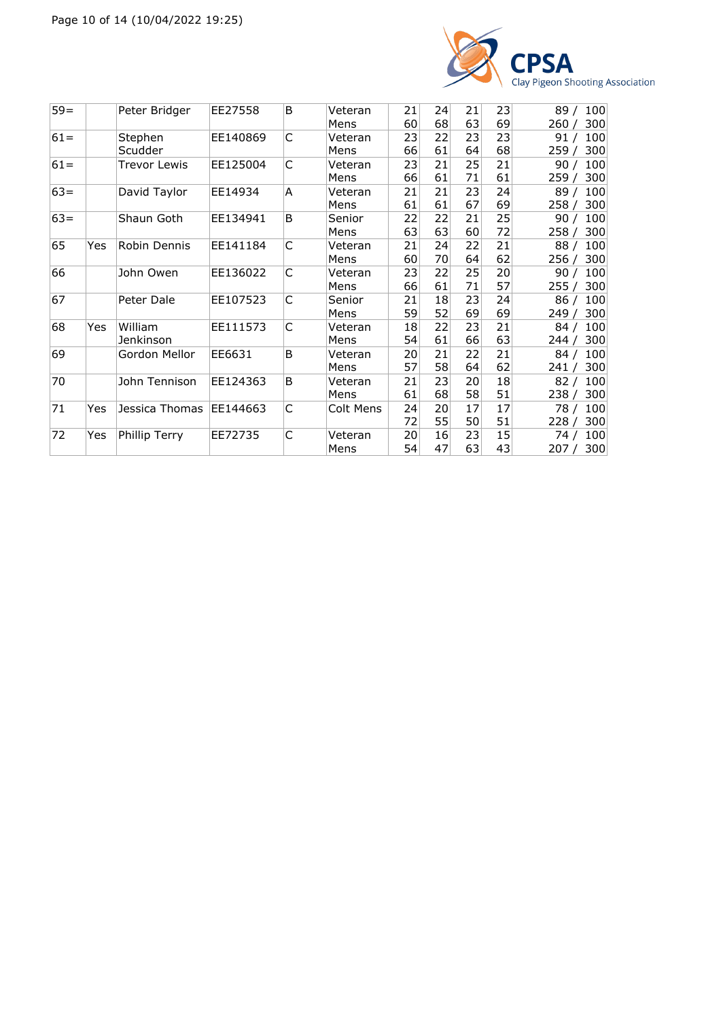

| $59 =$ |     | Peter Bridger  | EE27558  | B           | Veteran   | 21 | 24 | 21 | 23 | 89/<br>100   |
|--------|-----|----------------|----------|-------------|-----------|----|----|----|----|--------------|
|        |     |                |          |             | Mens      | 60 | 68 | 63 | 69 | 300<br>260   |
| $61 =$ |     | Stephen        | EE140869 | $\mathsf C$ | Veteran   | 23 | 22 | 23 | 23 | 100<br>91 /  |
|        |     | Scudder        |          |             | Mens      | 66 | 61 | 64 | 68 | 300<br>259 / |
| $61 =$ |     | Trevor Lewis   | EE125004 | C           | Veteran   | 23 | 21 | 25 | 21 | 90/<br>100   |
|        |     |                |          |             | Mens      | 66 | 61 | 71 | 61 | 300<br>259 / |
| $63 =$ |     | David Taylor   | EE14934  | A           | Veteran   | 21 | 21 | 23 | 24 | 89/<br>100   |
|        |     |                |          |             | Mens      | 61 | 61 | 67 | 69 | 300<br>258/  |
| $63 =$ |     | Shaun Goth     | EE134941 | B           | Senior    | 22 | 22 | 21 | 25 | 100<br>90/   |
|        |     |                |          |             | Mens      | 63 | 63 | 60 | 72 | 300<br>258 / |
| 65     | Yes | Robin Dennis   | EE141184 | C           | Veteran   | 21 | 24 | 22 | 21 | 100<br>88/   |
|        |     |                |          |             | Mens      | 60 | 70 | 64 | 62 | 300<br>256/  |
| 66     |     | John Owen      | EE136022 | $\mathsf C$ | Veteran   | 23 | 22 | 25 | 20 | 100<br>90/   |
|        |     |                |          |             | Mens      | 66 | 61 | 71 | 57 | 300<br>255/  |
| 67     |     | Peter Dale     | EE107523 | $\mathsf C$ | Senior    | 21 | 18 | 23 | 24 | 100<br>86/   |
|        |     |                |          |             | Mens      | 59 | 52 | 69 | 69 | 300<br>249 / |
| 68     | Yes | William        | EE111573 | C           | Veteran   | 18 | 22 | 23 | 21 | 100<br>84/   |
|        |     | Jenkinson      |          |             | Mens      | 54 | 61 | 66 | 63 | 300<br>244 / |
| 69     |     | Gordon Mellor  | EE6631   | B           | Veteran   | 20 | 21 | 22 | 21 | 100<br>84/   |
|        |     |                |          |             | Mens      | 57 | 58 | 64 | 62 | 300<br>241   |
| 70     |     | John Tennison  | EE124363 | B           | Veteran   | 21 | 23 | 20 | 18 | 100<br>82/   |
|        |     |                |          |             | Mens      | 61 | 68 | 58 | 51 | 300<br>238 / |
| 71     | Yes | Jessica Thomas | EE144663 | C           | Colt Mens | 24 | 20 | 17 | 17 | 100<br>78 /  |
|        |     |                |          |             |           | 72 | 55 | 50 | 51 | 300<br>228/  |
| 72     | Yes | Phillip Terry  | EE72735  | C           | Veteran   | 20 | 16 | 23 | 15 | 100<br>74 /  |
|        |     |                |          |             | Mens      | 54 | 47 | 63 | 43 | 300<br>207 / |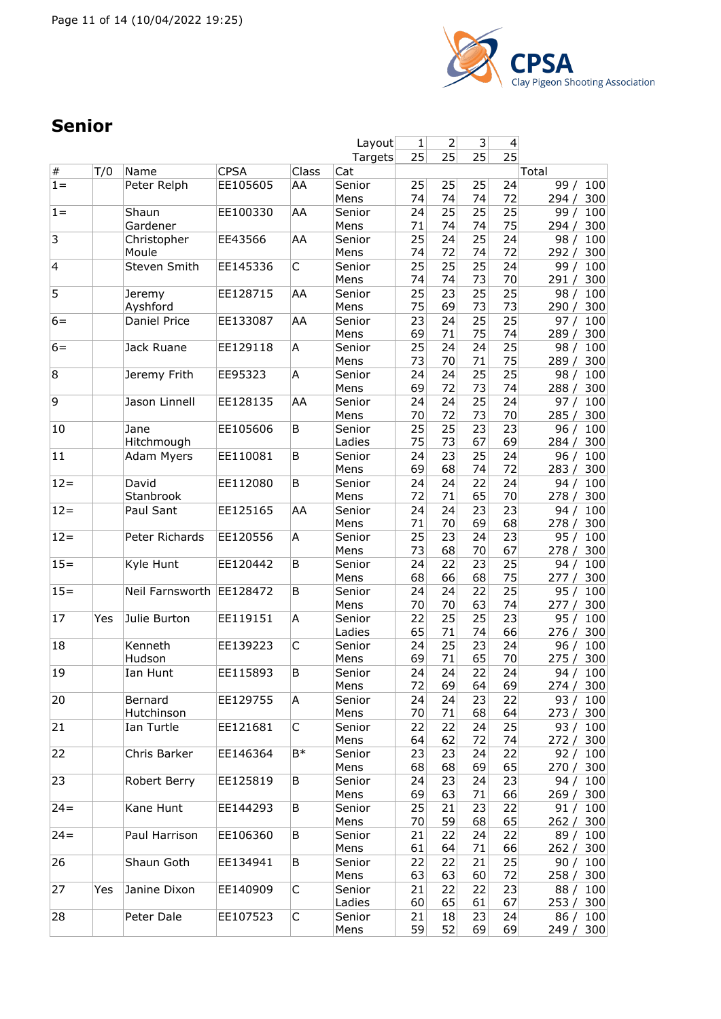

# **Senior**

|                |     |                          |             |       | Layout  | 1  | 2  | 3 <sup>2</sup> | 4               |               |
|----------------|-----|--------------------------|-------------|-------|---------|----|----|----------------|-----------------|---------------|
|                |     |                          |             |       | Targets | 25 | 25 | 25             | $\overline{25}$ |               |
| $\#$           | T/0 | Name                     | <b>CPSA</b> | Class | Cat     |    |    |                |                 | Total         |
| $1 =$          |     | Peter Relph              | EE105605    | AA    | Senior  | 25 | 25 | 25             | 24              | 99/<br>100    |
|                |     |                          |             |       | Mens    | 74 | 74 | 74             | 72              | 300<br>294/   |
| $1 =$          |     | Shaun                    | EE100330    | AA    | Senior  | 24 | 25 | 25             | 25              | 100<br>99/    |
|                |     | Gardener                 |             |       | Mens    | 71 | 74 | 74             | 75              | 294/<br>300   |
|                |     |                          |             |       |         |    |    |                |                 |               |
| $\overline{3}$ |     | Christopher              | EE43566     | AA    | Senior  | 25 | 24 | 25             | 24              | 98/<br>100    |
|                |     | Moule                    |             |       | Mens    | 74 | 72 | 74             | 72              | 292/<br>300   |
| 4              |     | Steven Smith             | EE145336    | C     | Senior  | 25 | 25 | 25             | 24              | 99/<br>100    |
|                |     |                          |             |       | Mens    | 74 | 74 | 73             | 70              | 300<br>291 /  |
| 5              |     | Jeremy                   | EE128715    | AA    | Senior  | 25 | 23 | 25             | 25              | 98 / 100      |
|                |     | Ayshford                 |             |       | Mens    | 75 | 69 | 73             | 73              | 290 / 300     |
| $6=$           |     | Daniel Price             | EE133087    | AA    | Senior  | 23 | 24 | 25             | 25              | 100<br>97/    |
|                |     |                          |             |       | Mens    | 69 | 71 | 75             | 74              | 300<br>289/   |
| $6=$           |     | Jack Ruane               | EE129118    | A     | Senior  | 25 | 24 | 24             | 25              | 98/<br>100    |
|                |     |                          |             |       | Mens    | 73 | 70 | 71             | 75              | 289 / 300     |
| 8              |     | Jeremy Frith             | EE95323     | A     | Senior  | 24 | 24 | 25             | 25              | 98/<br>100    |
|                |     |                          |             |       | Mens    | 69 | 72 | 73             | 74              | 300<br>288 /  |
| 9              |     |                          | EE128135    |       |         |    |    | 25             |                 |               |
|                |     | Jason Linnell            |             | lΑA   | Senior  | 24 | 24 |                | 24              | 97 $/$<br>100 |
|                |     |                          |             |       | Mens    | 70 | 72 | 73             | 70              | 285/<br>300   |
| 10             |     | Jane                     | EE105606    | B     | Senior  | 25 | 25 | 23             | 23              | 100<br>96/    |
|                |     | Hitchmough               |             |       | Ladies  | 75 | 73 | 67             | 69              | 284/<br>300   |
| 11             |     | Adam Myers               | EE110081    | B     | Senior  | 24 | 23 | 25             | 24              | 96/<br>100    |
|                |     |                          |             |       | Mens    | 69 | 68 | 74             | 72              | 283/<br>300   |
| $12 =$         |     | David                    | EE112080    | B     | Senior  | 24 | 24 | 22             | 24              | 100<br>94 /   |
|                |     | Stanbrook                |             |       | Mens    | 72 | 71 | 65             | 70              | 278 / 300     |
| $12 =$         |     | Paul Sant                | EE125165    | AA    | Senior  | 24 | 24 | 23             | 23              | 94 $/$<br>100 |
|                |     |                          |             |       | Mens    | 71 | 70 | 69             | 68              | 278/<br>300   |
| $12 =$         |     | Peter Richards           | EE120556    | A     | Senior  | 25 | 23 | 24             | 23              | 100<br>95/    |
|                |     |                          |             |       | Mens    | 73 | 68 | 70             | 67              | 278/<br>300   |
| $15 =$         |     | Kyle Hunt                | EE120442    | B     |         | 24 | 22 | 23             | 25              | 100           |
|                |     |                          |             |       | Senior  |    |    |                |                 | 94/           |
|                |     |                          |             |       | Mens    | 68 | 66 | 68             | 75              | 277 / 300     |
| $15 =$         |     | Neil Farnsworth EE128472 |             | B     | Senior  | 24 | 24 | 22             | 25              | 95/<br>100    |
|                |     |                          |             |       | Mens    | 70 | 70 | 63             | 74              | 277 / 300     |
| 17             | Yes | Julie Burton             | EE119151    | Α     | Senior  | 22 | 25 | 25             | 23              | 95/<br>100    |
|                |     |                          |             |       | Ladies  | 65 | 71 | 74             | 66              | 276/<br>300   |
| 18             |     | Kenneth                  | EE139223    | C     | Senior  | 24 | 25 | 23             | 24              | 100<br>96/    |
|                |     | Hudson                   |             |       | Mens    | 69 | 71 | 65             | 70              | 300<br>275/   |
| 19             |     | Ian Hunt                 | EE115893    | B     | Senior  | 24 | 24 | 22             | 24              | 94 / 100      |
|                |     |                          |             |       | Mens    | 72 | 69 | 64             | 69              | 274 / 300     |
| 20             |     | Bernard                  | EE129755    | A     | Senior  | 24 | 24 | 23             | 22              | 93 / 100      |
|                |     | Hutchinson               |             |       | Mens    | 70 | 71 | 68             | 64              | 273 / 300     |
| 21             |     | Ian Turtle               | EE121681    | C     | Senior  | 22 | 22 | 24             | 25              | 93 / 100      |
|                |     |                          |             |       | Mens    | 64 | 62 | 72             | 74              | 272/<br>300   |
| 22             |     |                          |             | B*    |         |    | 23 |                |                 | 92 / 100      |
|                |     | Chris Barker             | EE146364    |       | Senior  | 23 |    | 24             | 22              |               |
|                |     |                          |             |       | Mens    | 68 | 68 | 69             | 65              | 270 / 300     |
| 23             |     | Robert Berry             | EE125819    | В     | Senior  | 24 | 23 | 24             | 23              | 94 / 100      |
|                |     |                          |             |       | Mens    | 69 | 63 | 71             | 66              | 269 / 300     |
| $24 =$         |     | Kane Hunt                | EE144293    | B     | Senior  | 25 | 21 | 23             | 22              | 91 / 100      |
|                |     |                          |             |       | Mens    | 70 | 59 | 68             | 65              | 262 / 300     |
| $24 =$         |     | Paul Harrison            | EE106360    | B     | Senior  | 21 | 22 | 24             | 22              | 89 / 100      |
|                |     |                          |             |       | Mens    | 61 | 64 | 71             | 66              | 262 / 300     |
| 26             |     | Shaun Goth               | EE134941    | В     | Senior  | 22 | 22 | 21             | 25              | 90/<br>100    |
|                |     |                          |             |       | Mens    | 63 | 63 | 60             | 72              | 258 / 300     |
| 27             | Yes | Janine Dixon             | EE140909    | C     | Senior  | 21 | 22 | 22             | 23              | 88 / 100      |
|                |     |                          |             |       | Ladies  | 60 | 65 | 61             | 67              | 253 / 300     |
|                |     |                          |             |       |         |    |    |                |                 |               |
| 28             |     | Peter Dale               | EE107523    | C     | Senior  | 21 | 18 | 23             | 24              | 86 / 100      |
|                |     |                          |             |       | Mens    | 59 | 52 | 69             | 69              | 249/<br>300   |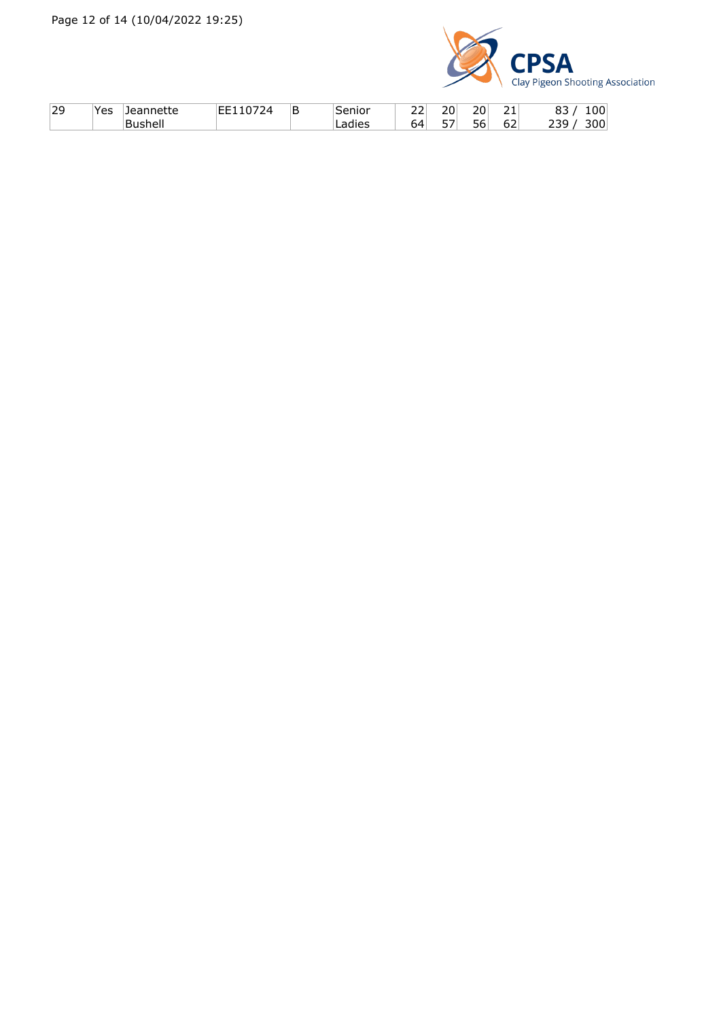

| 29 | ⊾ہ ∨<br>. | ---    | ΙB | $\sim$ $\sim$<br>. .               | $\sim$ $\sim$<br>__ | $\sim$    | $\sim$       | ັັ  |
|----|-----------|--------|----|------------------------------------|---------------------|-----------|--------------|-----|
|    |           | $\sim$ |    | -<br>$\overline{\phantom{a}}$<br>∽ | $ -$<br>ັ           | - -<br>n- | $\sim$<br>ο∠ | . . |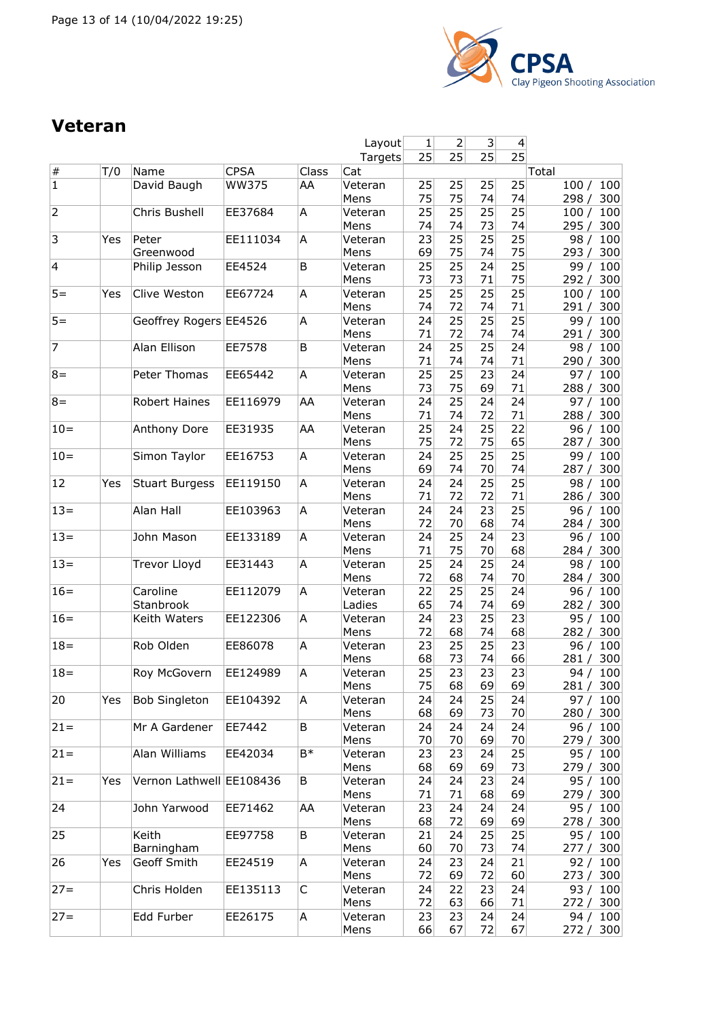

# **Veteran**

|                         |     |                          |              |       | Layout            | 1        | 2        | 3               | 4                     |                            |
|-------------------------|-----|--------------------------|--------------|-------|-------------------|----------|----------|-----------------|-----------------------|----------------------------|
|                         |     |                          |              |       | Targets           | 25       | 25       | 25              | $\overline{25}$       |                            |
| $\#$                    | T/0 | Name                     | <b>CPSA</b>  | Class | Cat               |          |          |                 |                       | Total                      |
| $\overline{1}$          |     | David Baugh              | <b>WW375</b> | AA    | Veteran<br>Mens   | 25<br>75 | 25<br>75 | 25<br>74        | 25<br>74              | 100/<br>100<br>300<br>298/ |
| $\overline{2}$          |     | Chris Bushell            | EE37684      | Α     | Veteran<br>Mens   | 25<br>74 | 25<br>74 | 25<br>73        | $\overline{25}$<br>74 | 100<br>100/<br>295/<br>300 |
| 3                       | Yes | Peter                    | EE111034     | A     | Veteran           | 23       | 25       | $\overline{25}$ | 25                    | 100<br>98/                 |
| $\overline{\mathbf{4}}$ |     | Greenwood                | EE4524       | B     | Mens              | 69<br>25 | 75<br>25 | 74<br>24        | 75<br>25              | 300<br>293/<br>100         |
|                         |     | Philip Jesson            |              |       | Veteran<br>Mens   | 73       | 73       | 71              | 75                    | 99/<br>292/<br>300         |
| $5 =$                   | Yes | Clive Weston             | EE67724      | Α     | Veteran           | 25       | 25       | 25              | 25                    | 100 / 100                  |
|                         |     |                          |              |       | Mens              | 74       | 72       | 74              | 71                    | 291/<br>300                |
| $5 =$                   |     | Geoffrey Rogers EE4526   |              | Α     | Veteran<br>Mens   | 24<br>71 | 25<br>72 | 25<br>74        | 25<br>74              | 100<br>99/<br>291/<br>300  |
| $\overline{7}$          |     | Alan Ellison             | EE7578       | B     | Veteran<br>Mens   | 24<br>71 | 25<br>74 | 25<br>74        | 24<br>71              | 98/<br>100<br>290/<br>300  |
| $8 =$                   |     | Peter Thomas             | EE65442      | А     | Veteran           | 25       | 25       | 23              | 24                    | 97 /<br>100                |
|                         |     |                          |              |       | Mens              | 73       | 75       | 69              | 71                    | 288 / 300                  |
| $8 =$                   |     | Robert Haines            | EE116979     | AA    | Veteran           | 24<br>71 | 25<br>74 | 24<br>72        | 24<br>71              | 100<br>97/                 |
| $10=$                   |     | Anthony Dore             | EE31935      | AA    | Mens<br>Veteran   | 25       | 24       | 25              | 22                    | 300<br>288/<br>100<br>96/  |
|                         |     |                          |              |       | Mens              | 75       | 72       | 75              | 65                    | 287/<br>300                |
| $10 =$                  |     | Simon Taylor             | EE16753      | A     | Veteran           | 24       | 25       | 25              | 25                    | 99/<br>100                 |
|                         |     |                          |              |       | Mens              | 69       | 74       | 70              | 74                    | 287/<br>300                |
| 12                      | Yes | <b>Stuart Burgess</b>    | EE119150     | A     | Veteran<br>Mens   | 24<br>71 | 24<br>72 | 25<br>72        | 25<br>71              | 98/<br>100<br>286 / 300    |
| $13 =$                  |     | Alan Hall                | EE103963     | Α     | Veteran<br>Mens   | 24<br>72 | 24<br>70 | 23<br>68        | 25<br>74              | 96/<br>100<br>300<br>284/  |
| $13 =$                  |     | John Mason               | EE133189     | Α     | Veteran<br>Mens   | 24<br>71 | 25<br>75 | 24<br>70        | 23<br>68              | 96/<br>100<br>300<br>284/  |
| $13 =$                  |     | <b>Trevor Lloyd</b>      | EE31443      | Α     | Veteran<br>Mens   | 25<br>72 | 24<br>68 | 25<br>74        | 24<br>70              | 98/<br>100<br>300<br>284/  |
| $16=$                   |     | Caroline<br>Stanbrook    | EE112079     | Α     | Veteran<br>Ladies | 22<br>65 | 25<br>74 | 25<br>74        | 24<br>69              | 96/<br>100<br>300<br>282 / |
| $16=$                   |     | Keith Waters             | EE122306     | Α     | Veteran<br>Mens   | 24<br>72 | 23<br>68 | 25<br>74        | 23<br>68              | 100<br>95/<br>300<br>282/  |
| $18 =$                  |     | Rob Olden                | EE86078      | A     | Veteran           | 23       | 25       | 25              | 23                    | 96/<br>100                 |
|                         |     |                          |              |       | Mens              | 68       | 73       | 74              | 66                    | 281 / 300                  |
| $18 =$                  |     | Roy McGovern             | EE124989     | Α     | Veteran           | 25       | 23       | 23              | 23                    | 94 / 100                   |
|                         |     |                          |              |       | Mens              | 75       | 68       | 69              | 69                    | 281 / 300                  |
| 20                      | Yes | <b>Bob Singleton</b>     | EE104392     | A     | Veteran<br>Mens   | 24<br>68 | 24<br>69 | 25<br>73        | 24<br>70              | 97 / 100<br>280 / 300      |
| $21 =$                  |     | Mr A Gardener            | EE7442       | B     | Veteran           | 24       | 24       | 24              | 24                    | 96 / 100                   |
|                         |     |                          |              |       | Mens              | 70       | 70       | 69              | 70                    | 279/<br>300                |
| $21 =$                  |     | Alan Williams            | EE42034      | B*    | Veteran<br>Mens   | 23<br>68 | 23<br>69 | 24<br>69        | 25<br>73              | 95/<br>100<br>279 / 300    |
| $21 =$                  | Yes | Vernon Lathwell EE108436 |              | B     | Veteran<br>Mens   | 24<br>71 | 24<br>71 | 23<br>68        | 24<br>69              | 95 / 100<br>279 / 300      |
| 24                      |     | John Yarwood             | EE71462      | AA    | Veteran<br>Mens   | 23<br>68 | 24<br>72 | 24<br>69        | 24<br>69              | 95 / 100<br>278/<br>300    |
| 25                      |     | Keith                    | EE97758      | B     | Veteran           | 21       | 24       | 25              | 25                    | 95 / 100                   |
|                         |     | Barningham               |              |       | Mens              | 60       | 70       | 73              | 74                    | 277 / 300                  |
| 26                      | Yes | Geoff Smith              | EE24519      | A     | Veteran           | 24       | 23       | 24              | 21                    | 92/<br>100                 |
|                         |     |                          |              |       | Mens              | 72       | 69       | 72              | 60                    | 273 / 300                  |
| $27 =$                  |     | Chris Holden             | EE135113     | C     | Veteran<br>Mens   | 24<br>72 | 22<br>63 | 23<br>66        | 24<br>71              | 93 / 100<br>272 / 300      |
| $27 =$                  |     | Edd Furber               | EE26175      | A     | Veteran           | 23       | 23       | 24              | 24                    | 94 / 100                   |
|                         |     |                          |              |       | Mens              | 66       | 67       | 72              | 67                    | 272 / 300                  |